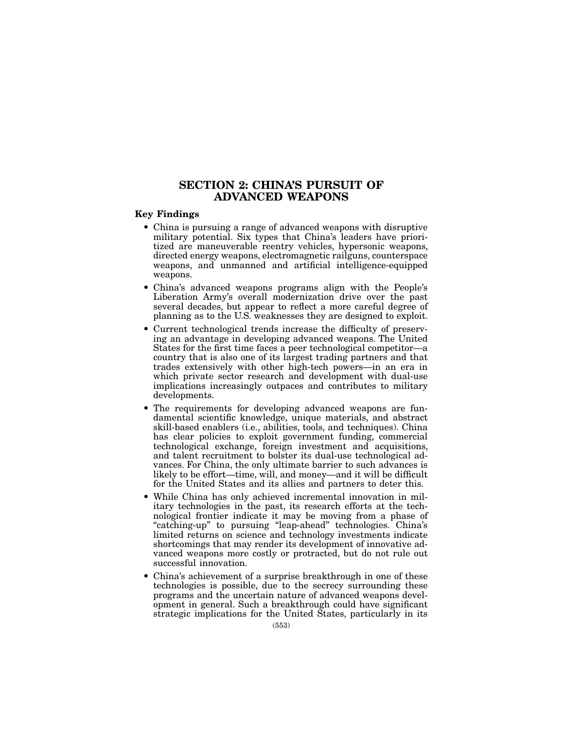# SECTION 2: CHINA'S PURSUIT OF ADVANCED WEAPONS

## Key Findings

- China is pursuing a range of advanced weapons with disruptive military potential. Six types that China's leaders have prioritized are maneuverable reentry vehicles, hypersonic weapons, directed energy weapons, electromagnetic railguns, counterspace weapons, and unmanned and artificial intelligence-equipped weapons.
- China's advanced weapons programs align with the People's Liberation Army's overall modernization drive over the past several decades, but appear to reflect a more careful degree of planning as to the U.S. weaknesses they are designed to exploit.
- Current technological trends increase the difficulty of preserving an advantage in developing advanced weapons. The United States for the first time faces a peer technological competitor—a country that is also one of its largest trading partners and that trades extensively with other high-tech powers—in an era in which private sector research and development with dual-use implications increasingly outpaces and contributes to military developments.
- The requirements for developing advanced weapons are fundamental scientific knowledge, unique materials, and abstract skill-based enablers (i.e., abilities, tools, and techniques). China has clear policies to exploit government funding, commercial technological exchange, foreign investment and acquisitions, and talent recruitment to bolster its dual-use technological advances. For China, the only ultimate barrier to such advances is likely to be effort—time, will, and money—and it will be difficult for the United States and its allies and partners to deter this.
- While China has only achieved incremental innovation in military technologies in the past, its research efforts at the technological frontier indicate it may be moving from a phase of "catching-up" to pursuing "leap-ahead" technologies. China's limited returns on science and technology investments indicate shortcomings that may render its development of innovative advanced weapons more costly or protracted, but do not rule out successful innovation.
- China's achievement of a surprise breakthrough in one of these technologies is possible, due to the secrecy surrounding these programs and the uncertain nature of advanced weapons development in general. Such a breakthrough could have significant strategic implications for the United States, particularly in its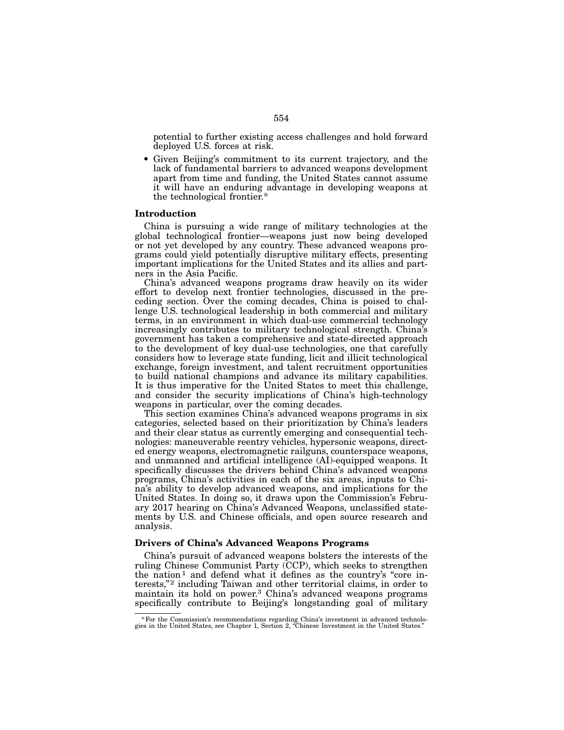potential to further existing access challenges and hold forward deployed U.S. forces at risk.

• Given Beijing's commitment to its current trajectory, and the lack of fundamental barriers to advanced weapons development apart from time and funding, the United States cannot assume it will have an enduring advantage in developing weapons at the technological frontier.\*

### Introduction

China is pursuing a wide range of military technologies at the global technological frontier—weapons just now being developed or not yet developed by any country. These advanced weapons programs could yield potentially disruptive military effects, presenting important implications for the United States and its allies and partners in the Asia Pacific.

China's advanced weapons programs draw heavily on its wider effort to develop next frontier technologies, discussed in the preceding section. Over the coming decades, China is poised to challenge U.S. technological leadership in both commercial and military terms, in an environment in which dual-use commercial technology increasingly contributes to military technological strength. China's government has taken a comprehensive and state-directed approach to the development of key dual-use technologies, one that carefully considers how to leverage state funding, licit and illicit technological exchange, foreign investment, and talent recruitment opportunities to build national champions and advance its military capabilities. It is thus imperative for the United States to meet this challenge, and consider the security implications of China's high-technology weapons in particular, over the coming decades.

This section examines China's advanced weapons programs in six categories, selected based on their prioritization by China's leaders and their clear status as currently emerging and consequential technologies: maneuverable reentry vehicles, hypersonic weapons, directed energy weapons, electromagnetic railguns, counterspace weapons, and unmanned and artificial intelligence (AI)-equipped weapons. It specifically discusses the drivers behind China's advanced weapons programs, China's activities in each of the six areas, inputs to China's ability to develop advanced weapons, and implications for the United States. In doing so, it draws upon the Commission's February 2017 hearing on China's Advanced Weapons, unclassified statements by U.S. and Chinese officials, and open source research and analysis.

## Drivers of China's Advanced Weapons Programs

China's pursuit of advanced weapons bolsters the interests of the ruling Chinese Communist Party (CCP), which seeks to strengthen the nation<sup>1</sup> and defend what it defines as the country's "core interests,"2 including Taiwan and other territorial claims, in order to maintain its hold on power.3 China's advanced weapons programs specifically contribute to Beijing's longstanding goal of military

<sup>\*</sup>For the Commission's recommendations regarding China's investment in advanced technolo- gies in the United States, see Chapter 1, Section 2, "Chinese Investment in the United States."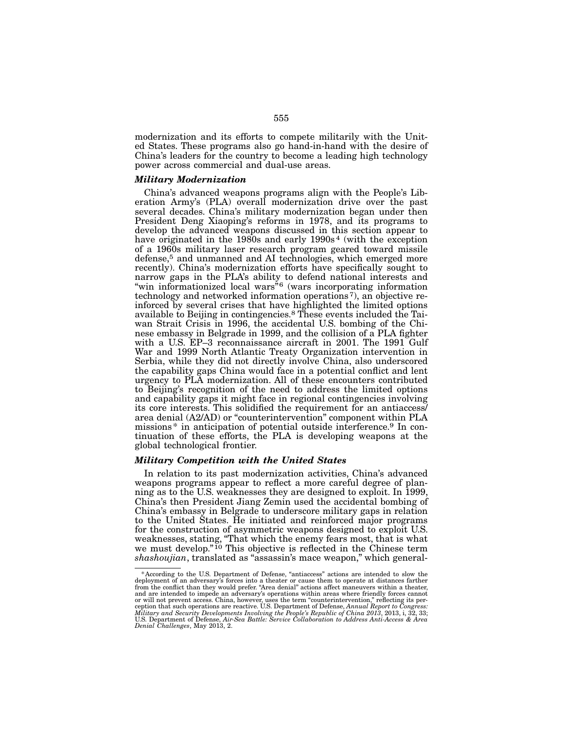modernization and its efforts to compete militarily with the United States. These programs also go hand-in-hand with the desire of China's leaders for the country to become a leading high technology power across commercial and dual-use areas.

### *Military Modernization*

China's advanced weapons programs align with the People's Liberation Army's (PLA) overall modernization drive over the past several decades. China's military modernization began under then President Deng Xiaoping's reforms in 1978, and its programs to develop the advanced weapons discussed in this section appear to have originated in the 1980s and early 1990s<sup>4</sup> (with the exception of a 1960s military laser research program geared toward missile defense,<sup>5</sup> and unmanned and AI technologies, which emerged more recently). China's modernization efforts have specifically sought to narrow gaps in the PLA's ability to defend national interests and "win informationized local wars"6 (wars incorporating information technology and networked information operations 7), an objective reinforced by several crises that have highlighted the limited options available to Beijing in contingencies.8 These events included the Taiwan Strait Crisis in 1996, the accidental U.S. bombing of the Chinese embassy in Belgrade in 1999, and the collision of a PLA fighter with a U.S. EP–3 reconnaissance aircraft in 2001. The 1991 Gulf War and 1999 North Atlantic Treaty Organization intervention in Serbia, while they did not directly involve China, also underscored the capability gaps China would face in a potential conflict and lent urgency to PLA modernization. All of these encounters contributed to Beijing's recognition of the need to address the limited options and capability gaps it might face in regional contingencies involving its core interests. This solidified the requirement for an antiaccess/ area denial (A2/AD) or "counterintervention" component within PLA missions\* in anticipation of potential outside interference.9 In continuation of these efforts, the PLA is developing weapons at the global technological frontier.

## *Military Competition with the United States*

In relation to its past modernization activities, China's advanced weapons programs appear to reflect a more careful degree of planning as to the U.S. weaknesses they are designed to exploit. In 1999, China's then President Jiang Zemin used the accidental bombing of China's embassy in Belgrade to underscore military gaps in relation to the United States. He initiated and reinforced major programs for the construction of asymmetric weapons designed to exploit U.S. weaknesses, stating, "That which the enemy fears most, that is what we must develop.<sup>"10</sup> This objective is reflected in the Chinese term *shashoujian*, translated as "assassin's mace weapon," which general-

<sup>\*</sup>According to the U.S. Department of Defense, "antiaccess" actions are intended to slow the deployment of an adversary's forces into a theater or cause them to operate at distances farther from the condict than they would and are intended to impede an adversary's operations within areas where friendly forces cannot<br>or will not prevent access. China, however, uses the term "counterintervention," reflecting its per-<br>ception that such operatio *Denial Challenges*, May 2013, 2.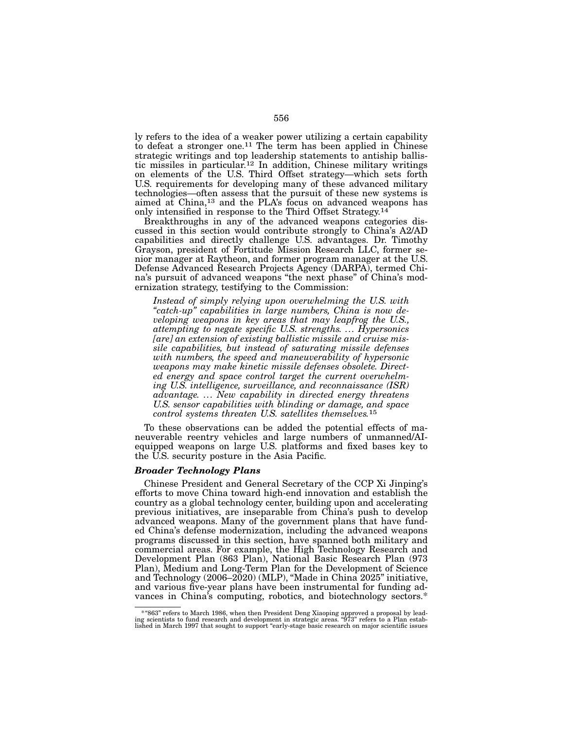ly refers to the idea of a weaker power utilizing a certain capability to defeat a stronger one.<sup>11</sup> The term has been applied in Chinese strategic writings and top leadership statements to antiship ballistic missiles in particular.12 In addition, Chinese military writings on elements of the U.S. Third Offset strategy—which sets forth U.S. requirements for developing many of these advanced military technologies—often assess that the pursuit of these new systems is aimed at China,<sup>13</sup> and the PLA's focus on advanced weapons has only intensified in response to the Third Offset Strategy.<sup>14</sup>

Breakthroughs in any of the advanced weapons categories discussed in this section would contribute strongly to China's A2/AD capabilities and directly challenge U.S. advantages. Dr. Timothy Grayson, president of Fortitude Mission Research LLC, former senior manager at Raytheon, and former program manager at the U.S. Defense Advanced Research Projects Agency (DARPA), termed China's pursuit of advanced weapons "the next phase" of China's modernization strategy, testifying to the Commission:

*Instead of simply relying upon overwhelming the U.S. with "catch-up" capabilities in large numbers, China is now developing weapons in key areas that may leapfrog the U.S., attempting to negate specific U.S. strengths. ... Hypersonics [are] an extension of existing ballistic missile and cruise missile capabilities, but instead of saturating missile defenses with numbers, the speed and maneuverability of hypersonic weapons may make kinetic missile defenses obsolete. Directed energy and space control target the current overwhelming U.S. intelligence, surveillance, and reconnaissance (ISR) advantage. ... New capability in directed energy threatens U.S. sensor capabilities with blinding or damage, and space control systems threaten U.S. satellites themselves.*15

To these observations can be added the potential effects of maneuverable reentry vehicles and large numbers of unmanned/AIequipped weapons on large U.S. platforms and fixed bases key to the U.S. security posture in the Asia Pacific.

### *Broader Technology Plans*

Chinese President and General Secretary of the CCP Xi Jinping's efforts to move China toward high-end innovation and establish the country as a global technology center, building upon and accelerating previous initiatives, are inseparable from China's push to develop advanced weapons. Many of the government plans that have funded China's defense modernization, including the advanced weapons programs discussed in this section, have spanned both military and commercial areas. For example, the High Technology Research and Development Plan (863 Plan), National Basic Research Plan (973 Plan), Medium and Long-Term Plan for the Development of Science and Technology (2006–2020) (MLP), "Made in China 2025" initiative, and various five-year plans have been instrumental for funding advances in China's computing, robotics, and biotechnology sectors.\*

<sup>-633&</sup>quot; refers to March 1986, when then President Deng Xiaoping approved a proposal by lead-#"<br>hig scientists to fund research and development in strategic areas. "973" refers to a Plan estab-<br>lished in March 1997 that sough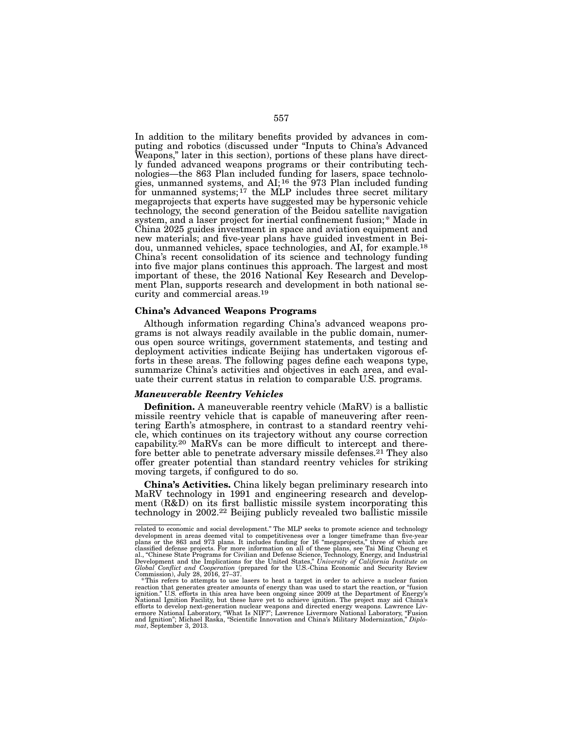In addition to the military benefits provided by advances in computing and robotics (discussed under "Inputs to China's Advanced Weapons," later in this section), portions of these plans have directly funded advanced weapons programs or their contributing technologies—the 863 Plan included funding for lasers, space technologies, unmanned systems, and AI;<sup>16</sup> the 973 Plan included funding for unmanned systems;<sup>17</sup> the MLP includes three secret military megaprojects that experts have suggested may be hypersonic vehicle technology, the second generation of the Beidou satellite navigation system, and a laser project for inertial confinement fusion;\* Made in China 2025 guides investment in space and aviation equipment and new materials; and five-year plans have guided investment in Beidou, unmanned vehicles, space technologies, and AI, for example.18 China's recent consolidation of its science and technology funding into five major plans continues this approach. The largest and most important of these, the 2016 National Key Research and Development Plan, supports research and development in both national security and commercial areas.19

### China's Advanced Weapons Programs

Although information regarding China's advanced weapons programs is not always readily available in the public domain, numerous open source writings, government statements, and testing and deployment activities indicate Beijing has undertaken vigorous efforts in these areas. The following pages define each weapons type, summarize China's activities and objectives in each area, and evaluate their current status in relation to comparable U.S. programs.

### *Maneuverable Reentry Vehicles*

Definition. A maneuverable reentry vehicle (MaRV) is a ballistic missile reentry vehicle that is capable of maneuvering after reentering Earth's atmosphere, in contrast to a standard reentry vehicle, which continues on its trajectory without any course correction capability.20 MaRVs can be more difficult to intercept and therefore better able to penetrate adversary missile defenses.<sup>21</sup> They also offer greater potential than standard reentry vehicles for striking moving targets, if configured to do so.

China's Activities. China likely began preliminary research into MaRV technology in 1991 and engineering research and development (R&D) on its first ballistic missile system incorporating this technology in 2002.22 Beijing publicly revealed two ballistic missile

related to economic and social development." The MLP seeks to promote science and technology<br>development in areas deemed vital to competitiveness over a longer timeframe than five-year<br>plans or the 863 and 973 plans. It in Global Conflict and Cooperation (prepared for the U.S.-China Economic and Security Review<br>Commission), July 28, 2016, 27–37.

<sup>\*</sup>This refers to attempts to use lasers to heat a target in order to achieve a nuclear fusion reaction that generates greater amounts of energy than was used to start the reaction, or "fusion ignition." U.S. efforts in this area have been ongoing since 2009 at the Department of Energy's National Ignition Facility, and Ignition"; Michael Raska, "Scientific Innovation and China's Military Modernization," *Diplo- mat*, September 3, 2013.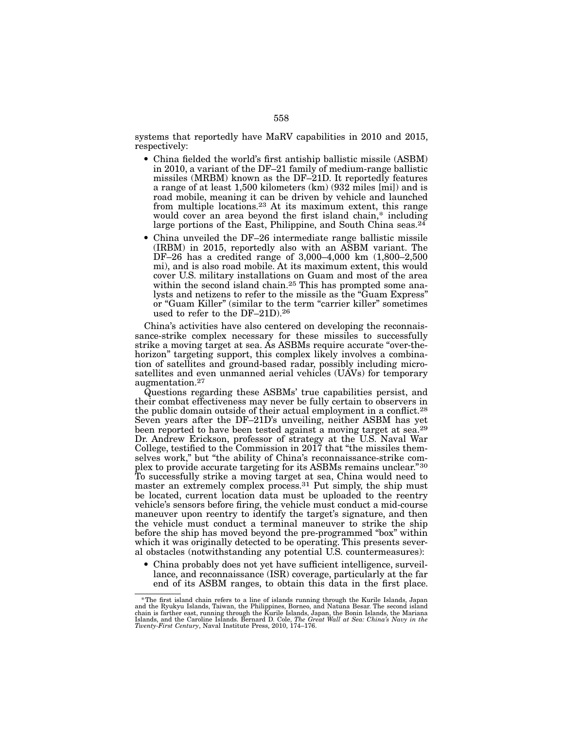systems that reportedly have MaRV capabilities in 2010 and 2015, respectively:

- China fielded the world's first antiship ballistic missile (ASBM) in 2010, a variant of the DF–21 family of medium-range ballistic missiles (MRBM) known as the DF–21D. It reportedly features a range of at least 1,500 kilometers (km) (932 miles [mi]) and is road mobile, meaning it can be driven by vehicle and launched from multiple locations.23 At its maximum extent, this range would cover an area beyond the first island chain,\* including large portions of the East, Philippine, and South China seas. $24$
- China unveiled the DF–26 intermediate range ballistic missile (IRBM) in 2015, reportedly also with an ASBM variant. The DF–26 has a credited range of 3,000–4,000 km (1,800–2,500 mi), and is also road mobile. At its maximum extent, this would cover U.S. military installations on Guam and most of the area within the second island chain.<sup>25</sup> This has prompted some analysts and netizens to refer to the missile as the "Guam Express" or "Guam Killer" (similar to the term "carrier killer" sometimes used to refer to the DF–21D).26

China's activities have also centered on developing the reconnaissance-strike complex necessary for these missiles to successfully strike a moving target at sea. As ASBMs require accurate "over-thehorizon" targeting support, this complex likely involves a combination of satellites and ground-based radar, possibly including microsatellites and even unmanned aerial vehicles (UAVs) for temporary augmentation.27

Questions regarding these ASBMs' true capabilities persist, and their combat effectiveness may never be fully certain to observers in the public domain outside of their actual employment in a conflict.28 Seven years after the DF–21D's unveiling, neither ASBM has yet been reported to have been tested against a moving target at sea.29 Dr. Andrew Erickson, professor of strategy at the U.S. Naval War College, testified to the Commission in 2017 that "the missiles themselves work," but "the ability of China's reconnaissance-strike complex to provide accurate targeting for its ASBMs remains unclear."30 To successfully strike a moving target at sea, China would need to master an extremely complex process.<sup>31</sup> Put simply, the ship must be located, current location data must be uploaded to the reentry vehicle's sensors before firing, the vehicle must conduct a mid-course maneuver upon reentry to identify the target's signature, and then the vehicle must conduct a terminal maneuver to strike the ship before the ship has moved beyond the pre-programmed "box" within which it was originally detected to be operating. This presents several obstacles (notwithstanding any potential U.S. countermeasures):

• China probably does not yet have sufficient intelligence, surveillance, and reconnaissance (ISR) coverage, particularly at the far end of its ASBM ranges, to obtain this data in the first place.

<sup>\*</sup>The first island chain refers to a line of islands running through the Kurile Islands, Japan and the Ryukyu Islands, Taiwan, the Philippines, Borneo, and Natuna Besar. The second island<br>chain is farther east, running through the Kurile Islands, Japan, the Bonin Islands, the Mariana<br>Islands, and the Caroline Island *Twenty-First Century*, Naval Institute Press, 2010, 174–176.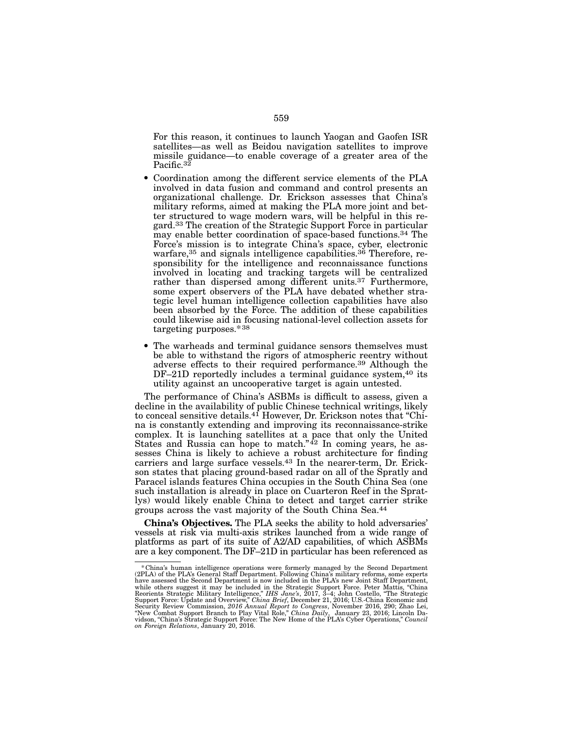For this reason, it continues to launch Yaogan and Gaofen ISR satellites—as well as Beidou navigation satellites to improve missile guidance—to enable coverage of a greater area of the Pacific.<sup>32</sup>

- Coordination among the different service elements of the PLA involved in data fusion and command and control presents an organizational challenge. Dr. Erickson assesses that China's military reforms, aimed at making the PLA more joint and better structured to wage modern wars, will be helpful in this regard.33 The creation of the Strategic Support Force in particular may enable better coordination of space-based functions.34 The Force's mission is to integrate China's space, cyber, electronic warfare,<sup>35</sup> and signals intelligence capabilities.<sup>36</sup> Therefore, responsibility for the intelligence and reconnaissance functions involved in locating and tracking targets will be centralized rather than dispersed among different units.<sup>37</sup> Furthermore, some expert observers of the PLA have debated whether strategic level human intelligence collection capabilities have also been absorbed by the Force. The addition of these capabilities could likewise aid in focusing national-level collection assets for targeting purposes.\*38
- The warheads and terminal guidance sensors themselves must be able to withstand the rigors of atmospheric reentry without adverse effects to their required performance.39 Although the DF–21D reportedly includes a terminal guidance system,<sup>40</sup> its utility against an uncooperative target is again untested.

The performance of China's ASBMs is difficult to assess, given a decline in the availability of public Chinese technical writings, likely to conceal sensitive details.41 However, Dr. Erickson notes that "China is constantly extending and improving its reconnaissance-strike complex. It is launching satellites at a pace that only the United States and Russia can hope to match." $42$  In coming years, he assesses China is likely to achieve a robust architecture for finding carriers and large surface vessels.43 In the nearer-term, Dr. Erickson states that placing ground-based radar on all of the Spratly and Paracel islands features China occupies in the South China Sea (one such installation is already in place on Cuarteron Reef in the Spratlys) would likely enable China to detect and target carrier strike groups across the vast majority of the South China Sea.44

China's Objectives. The PLA seeks the ability to hold adversaries' vessels at risk via multi-axis strikes launched from a wide range of platforms as part of its suite of A2/AD capabilities, of which ASBMs are a key component. The DF-21D in particular has been referenced as

<sup>\*</sup> China's human intelligence operations were formerly managed by the Second Department (2PLA) of the PLA's General Staff Department. Following China's military reforms, some experts have assessed the Second Department is *on Foreign Relations*, January 20, 2016.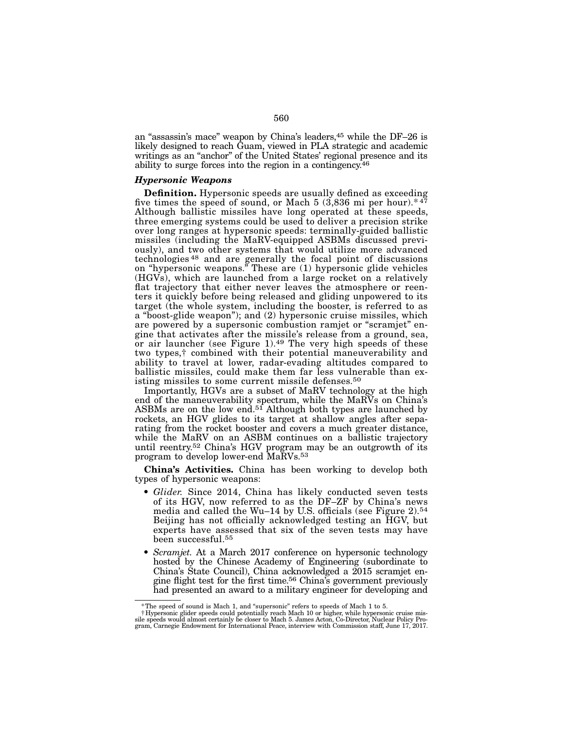an "assassin's mace" weapon by China's leaders,45 while the DF–26 is likely designed to reach Guam, viewed in PLA strategic and academic writings as an "anchor" of the United States' regional presence and its ability to surge forces into the region in a contingency.46

### *Hypersonic Weapons*

Definition. Hypersonic speeds are usually defined as exceeding five times the speed of sound, or Mach 5 (3,836 mi per hour). $*47$ Although ballistic missiles have long operated at these speeds, three emerging systems could be used to deliver a precision strike over long ranges at hypersonic speeds: terminally-guided ballistic missiles (including the MaRV-equipped ASBMs discussed previously), and two other systems that would utilize more advanced technologies 48 and are generally the focal point of discussions on "hypersonic weapons." These are (1) hypersonic glide vehicles (HGVs), which are launched from a large rocket on a relatively flat trajectory that either never leaves the atmosphere or reenters it quickly before being released and gliding unpowered to its target (the whole system, including the booster, is referred to as a "boost-glide weapon"); and (2) hypersonic cruise missiles, which are powered by a supersonic combustion ramjet or "scramjet" engine that activates after the missile's release from a ground, sea, or air launcher (see Figure 1).<sup>49</sup> The very high speeds of these two types,† combined with their potential maneuverability and ability to travel at lower, radar-evading altitudes compared to ballistic missiles, could make them far less vulnerable than existing missiles to some current missile defenses.50

Importantly, HGVs are a subset of MaRV technology at the high end of the maneuverability spectrum, while the MaRVs on China's ASBMs are on the low end.<sup>51</sup> Although both types are launched by rockets, an HGV glides to its target at shallow angles after separating from the rocket booster and covers a much greater distance, while the MaRV on an ASBM continues on a ballistic trajectory until reentry.52 China's HGV program may be an outgrowth of its program to develop lower-end MaRVs.53

China's Activities. China has been working to develop both types of hypersonic weapons:

- *Glider.* Since 2014, China has likely conducted seven tests of its HGV, now referred to as the DF–ZF by China's news media and called the Wu–14 by U.S. officials (see Figure 2).54 Beijing has not officially acknowledged testing an HGV, but experts have assessed that six of the seven tests may have been successful.55
- *Scramjet.* At a March 2017 conference on hypersonic technology hosted by the Chinese Academy of Engineering (subordinate to China's State Council), China acknowledged a 2015 scramjet engine flight test for the first time.56 China's government previously had presented an award to a military engineer for developing and

f The speed of sound is Mach 1, and "supersonic" refers to speeds of Mach 1 to 5. † Hypersonic glider speeds (<br>† Hypersonic glider speeds could potentially reach Mach 10 or higher, while hypersonic cruise missile speeds w gram, Carnegie Endowment for International Peace, interview with Commission staff, June 17, 2017.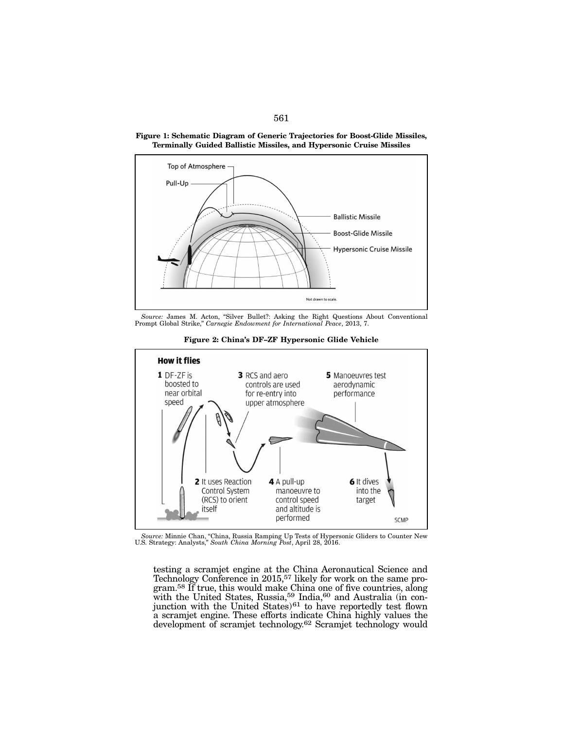

Figure 1: Schematic Diagram of Generic Trajectories for Boost-Glide Missiles, Terminally Guided Ballistic Missiles, and Hypersonic Cruise Missiles

*Source:* James M. Acton, "Silver Bullet?: Asking the Right Questions About Conventional Prompt Global Strike," *Carnegie Endowment for International Peace*, 2013, 7.



Figure 2: China's DF–ZF Hypersonic Glide Vehicle

testing a scramjet engine at the China Aeronautical Science and Technology Conference in 2015,<sup>57</sup> likely for work on the same pro-Technology Conference in 2015,<sup>57</sup> likely for work on the same program.<sup>58</sup> If true, this would make China one of five countries, along with the United States, Russia,<sup>59</sup> India,<sup>60</sup> and Australia (in conjunction with the United States)<sup>61</sup> to have reportedly test flown a scramjet engine. These efforts indicate China highly values the development of scramjet technology.62 Scramjet technology would

*Source:* Minnie Chan, "China, Russia Ramping Up Tests of Hypersonic Gliders to Counter New U.S. Strategy: Analysts," *South China Morning Post*, April 28, 2016.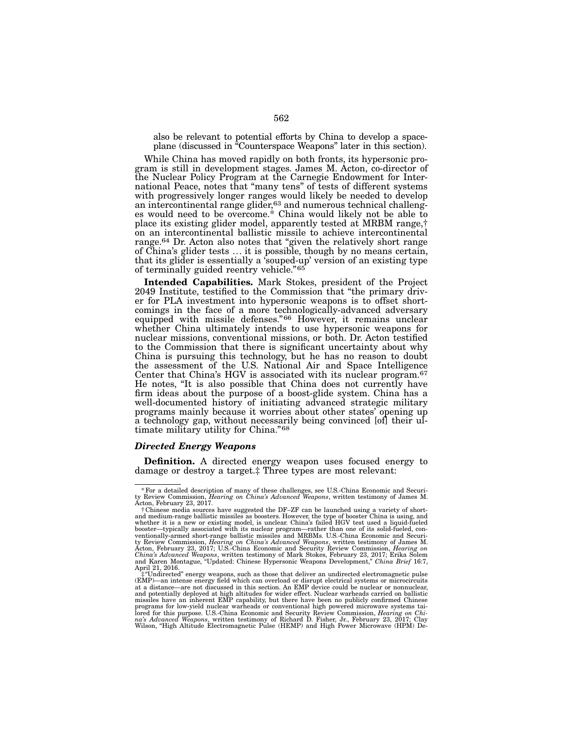also be relevant to potential efforts by China to develop a spaceplane (discussed in "Counterspace Weapons" later in this section).

While China has moved rapidly on both fronts, its hypersonic program is still in development stages. James M. Acton, co-director of the Nuclear Policy Program at the Carnegie Endowment for International Peace, notes that "many tens" of tests of different systems with progressively longer ranges would likely be needed to develop<br>an intercontinental range glider,<sup>63</sup> and numerous technical challenges would need to be overcome.\* China would likely not be able to place its existing glider model, apparently tested at MRBM range,† on an intercontinental ballistic missile to achieve intercontinental range.64 Dr. Acton also notes that "given the relatively short range of China's glider tests ... it is possible, though by no means certain, that its glider is essentially a 'souped-up' version of an existing type of terminally guided reentry vehicle."65

Intended Capabilities. Mark Stokes, president of the Project 2049 Institute, testified to the Commission that "the primary driv-2049 Institute, testified to the Commission that "the primary driv- er for PLA investment into hypersonic weapons is to offset short- comings in the face of a more technologically-advanced adversary equipped with missile defenses."66 However, it remains unclear whether China ultimately intends to use hypersonic weapons for nuclear missions, conventional missions, or both. Dr. Acton testified to the Commission that there is significant uncertainty about why China is pursuing this technology, but he has no reason to doubt the assessment of the U.S. National Air and Space Intelligence Center that China's HGV is associated with its nuclear program.67 He notes, "It is also possible that China does not currently have firm ideas about the purpose of a boost-glide system. China has a well-documented history of initiating advanced strategic military programs mainly because it worries about other states' opening up a technology gap, without necessarily being convinced [of] their ultimate military utility for China."68

## *Directed Energy Weapons*

**Definition.** A directed energy weapon uses focused energy to damage or destroy a target.‡ Three types are most relevant:

<sup>\*</sup>For a detailed description of many of these challenges, see U.S.-China Economic and Securi-ty Review Commission, *Hearing on China's Advanced Weapons*, written testimony of James M. Acton, February 23, 2017.

<sup>†</sup>Chinese media sources have suggested the DF–ZF can be launched using a variety of short-<br>and medium-range ballistic missiles as boosters. However, the type of booster China is using, and<br>whether it is a new or existing mo booster—typically associated with its nuclear program—rather than one of its solid-fueled, conventionally-armed short-range ballistic missiles and MRBMs. U.S.-China Ecourity Review Commission, *Hearing on China's Advanced* 

April 21, 2016.<br>
#"Undirected" energy weapons, such as those that deliver an undirected electromagnetic pulse  $\ddagger$ "Undirected" energy weapons, such as those that deliver an undirected electromagnetic pulse (EMP)—an intense energy field which can overload or disrupt electrical systems or microcircuits at a distance—are not discus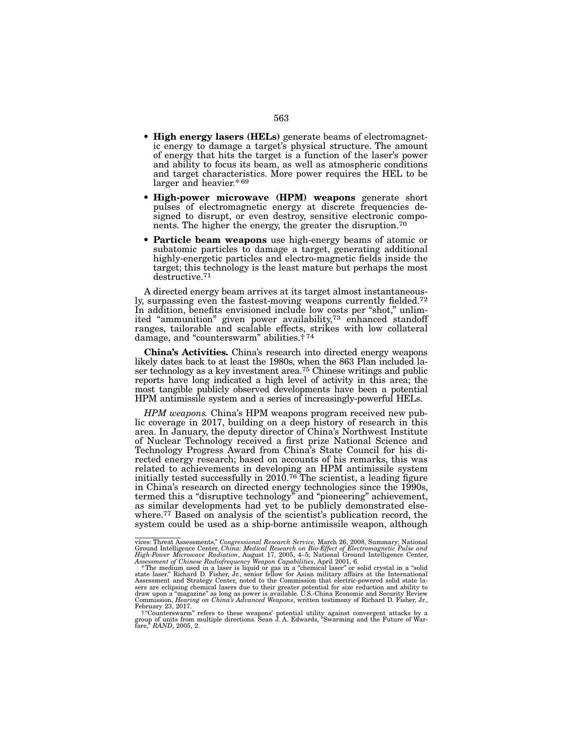- High energy lasers (HELs) generate beams of electromagnetic energy to damage a target's physical structure. The amount of energy that hits the target is a function of the laser's power and ability to focus its beam, as well as atmospheric conditions and target characteristics. More power requires the HEL to be larger and heavier.\* 69
- High-power microwave (HPM) weapons generate short pulses of electromagnetic energy at discrete frequencies designed to disrupt, or even destroy, sensitive electronic components. The higher the energy, the greater the disruption.<sup>70</sup>
- Particle beam weapons use high-energy beams of atomic or subatomic particles to damage a target, generating additional highly-energetic particles and electro-magnetic fields inside the target; this technology is the least mature but perhaps the most destructive.71

A directed energy beam arrives at its target almost instantaneously, surpassing even the fastest-moving weapons currently fielded.<sup>72</sup> In addition, benefits envisioned include low costs per "shot," unlimited "ammunition" given power availability,<sup>73</sup> enhanced standoff ranges, tailorable and scalable effects, strikes with low collateral damage, and "counterswarm" abilities.† 74

China's Activities. China's research into directed energy weapons likely dates back to at least the 1980s, when the 863 Plan included laser technology as a key investment area.<sup>75</sup> Chinese writings and public reports have long indicated a high level of activity in this area; the most tangible publicly observed developments have been a potential HPM antimissile system and a series of increasingly-powerful HELs.

*HPM weapons.* China's HPM weapons program received new public coverage in 2017, building on a deep history of research in this area. In January, the deputy director of China's Northwest Institute of Nuclear Technology received a first prize National Science and Technology Progress Award from China's State Council for his directed energy research; based on accounts of his remarks, this was related to achievements in developing an HPM antimissile system initially tested successfully in  $2010<sup>76</sup>$  The scientist, a leading figure in China's research on directed energy technologies since the 1990s, termed this a "disruptive technology" and "pioneering" achievement, as similar developments had yet to be publicly demonstrated elsewhere.<sup>77</sup> Based on analysis of the scientist's publication record, the system could be used as a ship-borne antimissile weapon, although

vices: Threat Assessments," *Congressional Research Service,* March 26, 2008, Summary; National

Ground Intelligence Center, *China: Medical Research on Bio-Effect of Electromagnetic Pulse and* High-Power Microwave Radiation, August 17, 2005, 4–5; National Ground Intelligence Center, Assessment of Chinese Radiofreque February 23, 2017.

<sup>†&</sup>quot;Counterswarm" refers to these weapons' potential utility against convergent attacks by a group of units from multiple directions. Sean J. A. Edwards, "Swarming and the Future of War- fare," *RAND*, 2005, 2.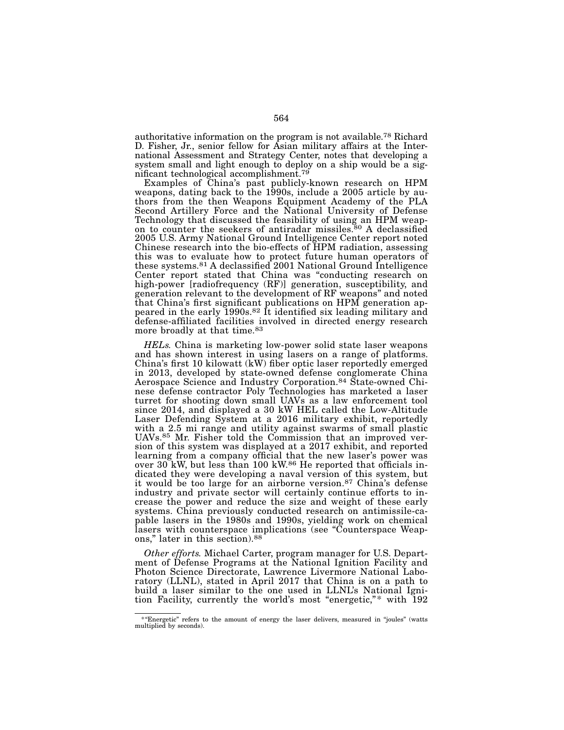authoritative information on the program is not available.78 Richard D. Fisher, Jr., senior fellow for Asian military affairs at the Inter- national Assessment and Strategy Center, notes that developing a system small and light enough to deploy on a ship would be a significant technological accomplishment.<sup>79</sup>

Examples of China's past publicly-known research on HPM<br>weapons, dating back to the 1990s, include a 2005 article by authors from the then Weapons Equipment Academy of the PLA Second Artillery Force and the National University of Defense<br>Technology that discussed the feasibility of using an HPM weapon to counter the seekers of antiradar missiles.<sup>80</sup> A declassified 2005 U.S. Army National Ground Intelligence Center report noted Chinese research into the bio-effects of HPM radiation, assessing this was to evaluate how to protect future human operators of these systems.81 A declassified 2001 National Ground Intelligence Center report stated that China was "conducting research on high-power [radiofrequency (RF)] generation, susceptibility, and generation relevant to the development of RF weapons" and noted that China's first significant publications on HPM generation appeared in the early 1990s.<sup>82</sup> It identified six leading military and defense-affiliated facilities involved in directed energy research more broadly at that time.83

*HELs.* China is marketing low-power solid state laser weapons and has shown interest in using lasers on a range of platforms. China's first 10 kilowatt (kW) fiber optic laser reportedly emerged in 2013, developed by state-owned defense conglomerate China Aerospace Science and Industry Corporation.84 State-owned Chinese defense contractor Poly Technologies has marketed a laser turret for shooting down small UAVs as a law enforcement tool since 2014, and displayed a 30 kW HEL called the Low-Altitude Laser Defending System at a 2016 military exhibit, reportedly with a 2.5 mi range and utility against swarms of small plastic UAVs.85 Mr. Fisher told the Commission that an improved version of this system was displayed at a 2017 exhibit, and reported learning from a company official that the new laser's power was over 30 kW, but less than 100 kW.86 He reported that officials indicated they were developing a naval version of this system, but it would be too large for an airborne version.87 China's defense industry and private sector will certainly continue efforts to increase the power and reduce the size and weight of these early systems. China previously conducted research on antimissile-capable lasers in the 1980s and 1990s, yielding work on chemical lasers with counterspace implications (see "Counterspace Weapons," later in this section).88

*Other efforts.* Michael Carter, program manager for U.S. Depart-<br>ment of Defense Programs at the National Ignition Facility and Photon Science Directorate, Lawrence Livermore National Labo- ratory (LLNL), stated in April 2017 that China is on a path to build a laser similar to the one used in LLNL's National Ignition Facility, currently the world's most "energetic,"\* with 192

<sup>\*&</sup>quot;Energetic" refers to the amount of energy the laser delivers, measured in "joules" (watts multiplied by seconds).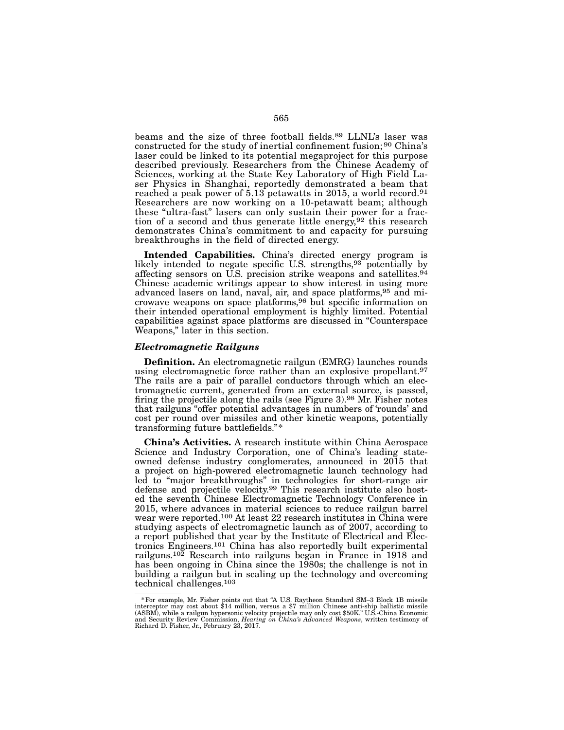beams and the size of three football fields.89 LLNL's laser was constructed for the study of inertial confinement fusion; 90 China's laser could be linked to its potential megaproject for this purpose described previously. Researchers from the Chinese Academy of Sciences, working at the State Key Laboratory of High Field Laser Physics in Shanghai, reportedly demonstrated a beam that reached a peak power of 5.13 petawatts in 2015, a world record.91 Researchers are now working on a 10-petawatt beam; although these "ultra-fast" lasers can only sustain their power for a fraction of a second and thus generate little energy,  $92$  this research demonstrates China's commitment to and capacity for pursuing breakthroughs in the field of directed energy.

Intended Capabilities. China's directed energy program is likely intended to negate specific U.S. strengths,93 potentially by affecting sensors on U.S. precision strike weapons and satellites.<sup>94</sup> Chinese academic writings appear to show interest in using more advanced lasers on land, naval, air, and space platforms,95 and microwave weapons on space platforms,96 but specific information on their intended operational employment is highly limited. Potential capabilities against space platforms are discussed in "Counterspace Weapons," later in this section.

### *Electromagnetic Railguns*

Definition. An electromagnetic railgun (EMRG) launches rounds using electromagnetic force rather than an explosive propellant.<sup>97</sup> The rails are a pair of parallel conductors through which an electromagnetic current, generated from an external source, is passed, firing the projectile along the rails (see Figure 3).98 Mr. Fisher notes that railguns "offer potential advantages in numbers of 'rounds' and cost per round over missiles and other kinetic weapons, potentially transforming future battlefields."\*

China's Activities. A research institute within China Aerospace Science and Industry Corporation, one of China's leading stateowned defense industry conglomerates, announced in 2015 that a project on high-powered electromagnetic launch technology had led to "major breakthroughs" in technologies for short-range air defense and projectile velocity.99 This research institute also hosted the seventh Chinese Electromagnetic Technology Conference in 2015, where advances in material sciences to reduce railgun barrel wear were reported.<sup>100</sup> At least 22 research institutes in China were studying aspects of electromagnetic launch as of 2007, according to a report published that year by the Institute of Electrical and Electronics Engineers.101 China has also reportedly built experimental railguns.102 Research into railguns began in France in 1918 and has been ongoing in China since the 1980s; the challenge is not in building a railgun but in scaling up the technology and overcoming technical challenges.103

<sup>\*</sup> For example, Mr. Fisher points out that "A U.S. Raytheon Standard SM-3 Block 1B missile interceptor may cost about \$14 million, versus a \$7 million Chinese anti-ship ballistic missile (ASBM), while a railgun hypersonic v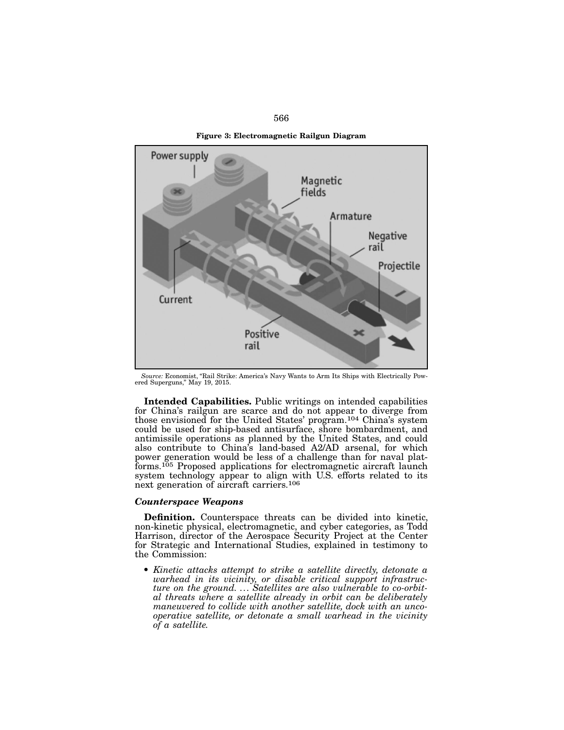



*Source:* Economist, "Rail Strike: America's Navy Wants to Arm Its Ships with Electrically Pow- ered Superguns," May 19, 2015.

Intended Capabilities. Public writings on intended capabilities for China's railgun are scarce and do not appear to diverge from those envisioned for the United States' program.104 China's system could be used for ship-based antisurface, shore bombardment, and antimissile operations as planned by the United States, and could also contribute to China's land-based A2/AD arsenal, for which power generation would be less of a challenge than for naval platforms.105 Proposed applications for electromagnetic aircraft launch system technology appear to align with U.S. efforts related to its next generation of aircraft carriers.106

## *Counterspace Weapons*

Definition. Counterspace threats can be divided into kinetic, non-kinetic physical, electromagnetic, and cyber categories, as Todd Harrison, director of the Aerospace Security Project at the Center for Strategic and International Studies, explained in testimony to the Commission:

• *Kinetic attacks attempt to strike a satellite directly, detonate a warhead in its vicinity, or disable critical support infrastructure on the ground. ... Satellites are also vulnerable to co-orbital threats where a satellite already in orbit can be deliberately maneuvered to collide with another satellite, dock with an uncooperative satellite, or detonate a small warhead in the vicinity of a satellite.*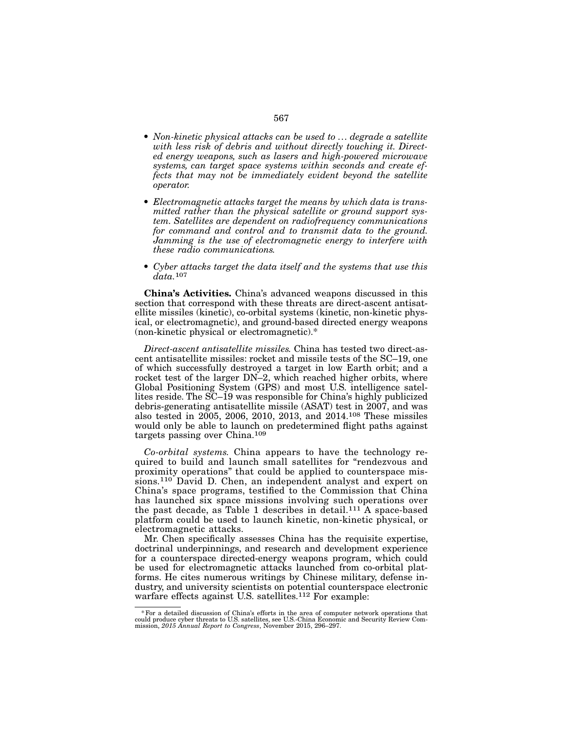- *Non-kinetic physical attacks can be used to ... degrade a satellite with less risk of debris and without directly touching it. Directed energy weapons, such as lasers and high-powered microwave systems, can target space systems within seconds and create effects that may not be immediately evident beyond the satellite operator.*
- *Electromagnetic attacks target the means by which data is transmitted rather than the physical satellite or ground support system. Satellites are dependent on radiofrequency communications for command and control and to transmit data to the ground. Jamming is the use of electromagnetic energy to interfere with these radio communications.*
- *Cyber attacks target the data itself and the systems that use this data.*107

China's Activities. China's advanced weapons discussed in this section that correspond with these threats are direct-ascent antisatellite missiles (kinetic), co-orbital systems (kinetic, non-kinetic physical, or electromagnetic), and ground-based directed energy weapons (non-kinetic physical or electromagnetic).\*

*Direct-ascent antisatellite missiles.* China has tested two direct-ascent antisatellite missiles: rocket and missile tests of the SC–19, one of which successfully destroyed a target in low Earth orbit; and a rocket test of the larger DN–2, which reached higher orbits, where Global Positioning System (GPS) and most U.S. intelligence satellites reside. The SC–19 was responsible for China's highly publicized debris-generating antisatellite missile (ASAT) test in 2007, and was also tested in 2005, 2006, 2010, 2013, and 2014.108 These missiles would only be able to launch on predetermined flight paths against targets passing over China.109

*Co-orbital systems.* China appears to have the technology required to build and launch small satellites for "rendezvous and proximity operations" that could be applied to counterspace missions.110 David D. Chen, an independent analyst and expert on China's space programs, testified to the Commission that China has launched six space missions involving such operations over the past decade, as Table 1 describes in detail.<sup>111</sup> A space-based platform could be used to launch kinetic, non-kinetic physical, or electromagnetic attacks.

Mr. Chen specifically assesses China has the requisite expertise, doctrinal underpinnings, and research and development experience for a counterspace directed-energy weapons program, which could be used for electromagnetic attacks launched from co-orbital platforms. He cites numerous writings by Chinese military, defense industry, and university scientists on potential counterspace electronic warfare effects against U.S. satellites.<sup>112</sup> For example:

<sup>\*</sup> For a detailed discussion of China's efforts in the area of computer network operations that could produce cyber threats to U.S. satellites, see U.S.-China Economic and Security Review Commission, 2015 Annual Report to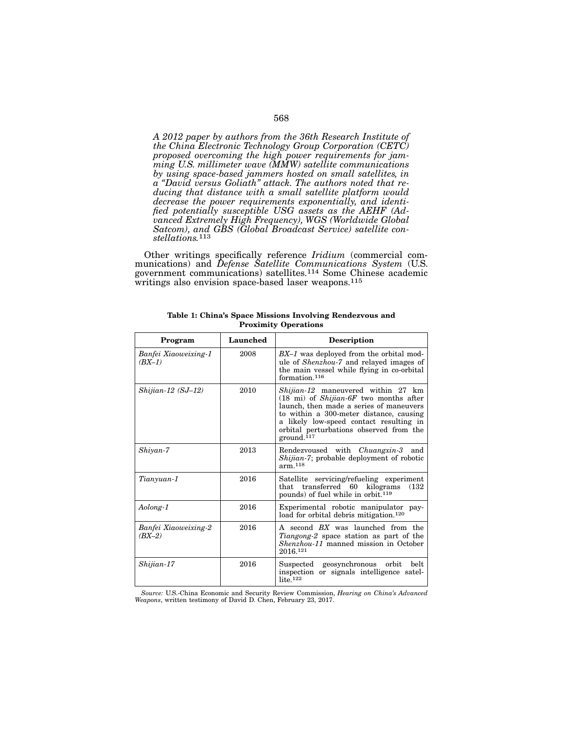*A 2012 paper by authors from the 36th Research Institute of the China Electronic Technology Group Corporation (CETC) proposed overcoming the high power requirements for jam- ming U.S. millimeter wave (MMW) satellite communications by using space-based jammers hosted on small satellites, in a "David versus Goliath" attack. The authors noted that re- ducing that distance with a small satellite platform would decrease the power requirements exponentially, and identi- fied potentially susceptible USG assets as the AEHF (Ad- vanced Extremely High Frequency), WGS (Worldwide Global Satcom), and GBS (Global Broadcast Service) satellite con- stellations.*<sup>113</sup>

Other writings specifically reference *Iridium* (commercial com- munications) and *Defense Satellite Communications System* (U.S. government communications) satellites.114 Some Chinese academic writings also envision space-based laser weapons.<sup>115</sup>

| Program                          | Launched | <b>Description</b>                                                                                                                                                                                                                                                                                           |
|----------------------------------|----------|--------------------------------------------------------------------------------------------------------------------------------------------------------------------------------------------------------------------------------------------------------------------------------------------------------------|
| Banfei Xiaoweixing-1<br>$(BX-1)$ | 2008     | BX-1 was deployed from the orbital mod-<br>ule of <i>Shenzhou-7</i> and relayed images of<br>the main vessel while flying in co-orbital<br>formation. <sup>116</sup>                                                                                                                                         |
| $Shi$ jian-12 (SJ-12)            | 2010     | <i>Shijian-12</i> maneuvered within 27 km<br>$(18 \text{ mi})$ of <i>Shijian-6F</i> two months after<br>launch, then made a series of maneuvers<br>to within a 300-meter distance, causing<br>a likely low-speed contact resulting in<br>orbital perturbations observed from the<br>$ground.$ <sup>117</sup> |
| Shivan-7                         | 2013     | Rendezvoused with <i>Chuangxin-3</i><br>and<br><i>Shijian-7</i> ; probable deployment of robotic<br>arm 118                                                                                                                                                                                                  |
| Tianyuan-1                       | 2016     | Satellite servicing/refueling experiment<br>transferred 60 kilograms<br>(132)<br>that<br>pounds) of fuel while in orbit. <sup>119</sup>                                                                                                                                                                      |
| Aolong-1                         | 2016     | Experimental robotic manipulator pay-<br>load for orbital debris mitigation. <sup>120</sup>                                                                                                                                                                                                                  |
| Banfei Xiaoweixing-2<br>$(BX-2)$ | 2016     | A second BX was launched from the<br><i>Tiangong-2</i> space station as part of the<br><i>Shenzhou-11</i> manned mission in October<br>2016.121                                                                                                                                                              |
| Shijian-17                       | 2016     | geosynchronous<br>orbit<br>belt<br>$\rm Suspected$<br>inspection or signals intelligence satel-<br>$lite.$ <sup>122</sup>                                                                                                                                                                                    |

Table 1: China's Space Missions Involving Rendezvous and Proximity Operations

*Source:* U.S.-China Economic and Security Review Commission, *Hearing on China's Advanced Weapons*, written testimony of David D. Chen, February 23, 2017.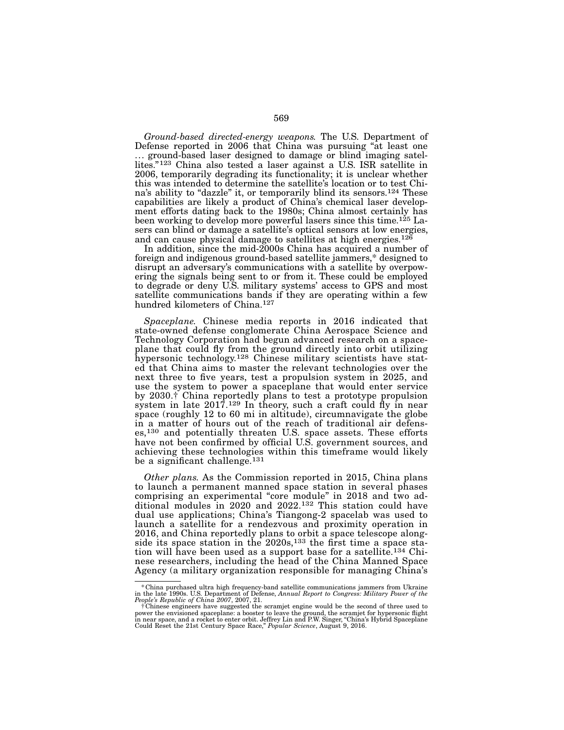*Ground-based directed-energy weapons.* The U.S. Department of Defense reported in 2006 that China was pursuing "at least one ... ground-based laser designed to damage or blind imaging satellites."123 China also tested a laser against a U.S. ISR satellite in 2006, temporarily degrading its functionality; it is unclear whether this was intended to determine the satellite's location or to test China's ability to "dazzle" it, or temporarily blind its sensors.124 These capabilities are likely a product of China's chemical laser development efforts dating back to the 1980s; China almost certainly has been working to develop more powerful lasers since this time.125 Lasers can blind or damage a satellite's optical sensors at low energies, and can cause physical damage to satellites at high energies.<sup>126</sup>

In addition, since the mid-2000s China has acquired a number of foreign and indigenous ground-based satellite jammers,\* designed to disrupt an adversary's communications with a satellite by overpowering the signals being sent to or from it. These could be employed to degrade or deny U.S. military systems' access to GPS and most satellite communications bands if they are operating within a few hundred kilometers of China.127

*Spaceplane.* Chinese media reports in 2016 indicated that state-owned defense conglomerate China Aerospace Science and Technology Corporation had begun advanced research on a spaceplane that could fly from the ground directly into orbit utilizing hypersonic technology.128 Chinese military scientists have stated that China aims to master the relevant technologies over the next three to five years, test a propulsion system in 2025, and use the system to power a spaceplane that would enter service by 2030.† China reportedly plans to test a prototype propulsion system in late 2017.129 In theory, such a craft could fly in near space (roughly 12 to 60 mi in altitude), circumnavigate the globe in a matter of hours out of the reach of traditional air defenses,130 and potentially threaten U.S. space assets. These efforts have not been confirmed by official U.S. government sources, and achieving these technologies within this timeframe would likely be a significant challenge.131

*Other plans.* As the Commission reported in 2015, China plans to launch a permanent manned space station in several phases comprising an experimental "core module" in 2018 and two additional modules in 2020 and 2022.132 This station could have dual use applications; China's Tiangong-2 spacelab was used to launch a satellite for a rendezvous and proximity operation in 2016, and China reportedly plans to orbit a space telescope alongside its space station in the 2020s,<sup>133</sup> the first time a space station will have been used as a support base for a satellite.134 Chinese researchers, including the head of the China Manned Space Agency (a military organization responsible for managing China's

<sup>\*</sup>China purchased ultra high frequency-band satellite communications jammers from Ukraine in the late 1990s. U.S. Department of Defense, *Annual Report to Congress: Military Power of the People's Republic of China 2007*, 2007, 21.

f Chinese engineers have suggested the scramjet engine would be the second of three used to<br>power the envisioned spaceplane: a booster to leave the ground, the scramjet for hypersonic flight<br>in near space, and a rocket to Could Reset the 21st Century Space Race," *Popular Science*, August 9, 2016.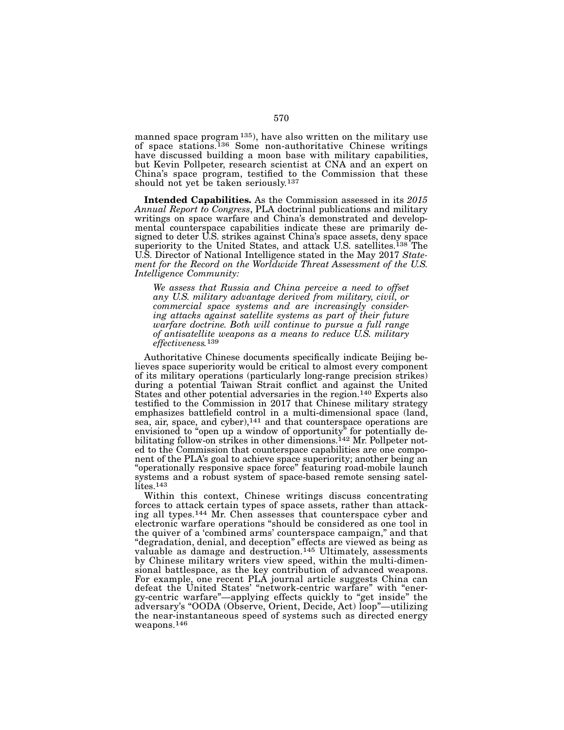manned space program 135), have also written on the military use of space stations.136 Some non-authoritative Chinese writings have discussed building a moon base with military capabilities, but Kevin Pollpeter, research scientist at CNA and an expert on China's space program, testified to the Commission that these should not yet be taken seriously.137

Intended Capabilities. As the Commission assessed in its *2015 Annual Report to Congress*, PLA doctrinal publications and military writings on space warfare and China's demonstrated and developmental counterspace capabilities indicate these are primarily designed to deter U.S. strikes against China's space assets, deny space superiority to the United States, and attack U.S. satellites.<sup>138</sup> The U.S. Director of National Intelligence stated in the May 2017 *Statement for the Record on the Worldwide Threat Assessment of the U.S. Intelligence Community:*

*We assess that Russia and China perceive a need to offset any U.S. military advantage derived from military, civil, or commercial space systems and are increasingly consider- ing attacks against satellite systems as part of their future warfare doctrine. Both will continue to pursue a full range of antisatellite weapons as a means to reduce U.S. military effectiveness.*139

Authoritative Chinese documents specifically indicate Beijing believes space superiority would be critical to almost every component of its military operations (particularly long-range precision strikes) during a potential Taiwan Strait conflict and against the United States and other potential adversaries in the region.<sup>140</sup> Experts also testified to the Commission in 2017 that Chinese military strategy emphasizes battlefield control in a multi-dimensional space (land, sea, air, space, and cyber),<sup>141</sup> and that counterspace operations are envisioned to "open up a window of opportunity" for potentially debilitating follow-on strikes in other dimensions.<sup>142</sup> Mr. Pollpeter noted to the Commission that counterspace capabilities are one component of the PLA's goal to achieve space superiority; another being an "operationally responsive space force" featuring road-mobile launch systems and a robust system of space-based remote sensing satellites.<sup>143</sup>

Within this context, Chinese writings discuss concentrating forces to attack certain types of space assets, rather than attacking all types.<sup>144</sup> Mr. Chen assesses that counterspace cyber and electronic warfare operations "should be considered as one tool in the quiver of a 'combined arms' counterspace campaign," and that "degradation, denial, and deception" effects are viewed as being as valuable as damage and destruction.<sup>145</sup> Ultimately, assessments<br>by Chinese military writers view speed, within the multi-dimenby Chinese military writers view speed, within the multi-dimen- sional battlespace, as the key contribution of advanced weapons. For example, one recent PLA journal article suggests China can defeat the United States' "network-centric warfare" with "energy-centric warfare"—applying effects quickly to "get inside" the adversary's "OODA (Observe, Orient, Decide, Act) loop"—utilizing the near-instantaneous speed of systems such as directed energy weapons.146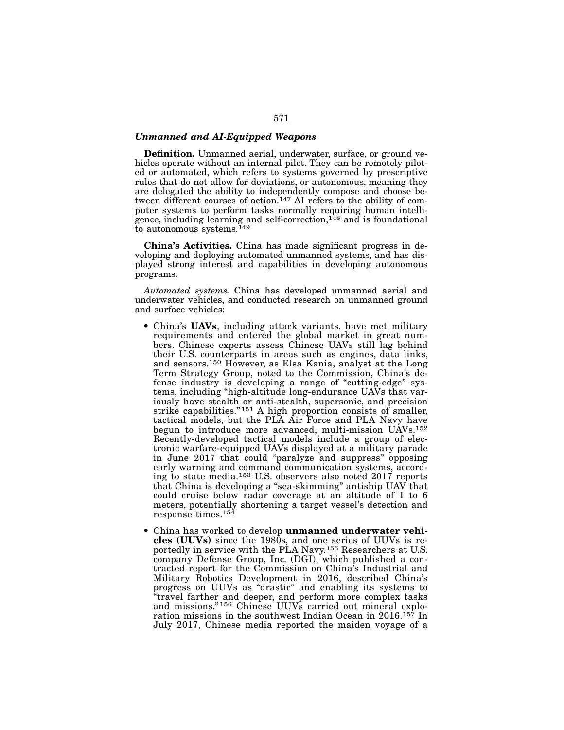## *Unmanned and AI-Equipped Weapons*

Definition. Unmanned aerial, underwater, surface, or ground vehicles operate without an internal pilot. They can be remotely piloted or automated, which refers to systems governed by prescriptive rules that do not allow for deviations, or autonomous, meaning they are delegated the ability to independently compose and choose between different courses of action.<sup>147</sup> AI refers to the ability of computer systems to perform tasks normally requiring human intelligence, including learning and self-correction,<sup>148</sup> and is foundational to autonomous systems.<sup>149</sup>

China's Activities. China has made significant progress in developing and deploying automated unmanned systems, and has displayed strong interest and capabilities in developing autonomous programs.

*Automated systems.* China has developed unmanned aerial and underwater vehicles, and conducted research on unmanned ground and surface vehicles:

- China's **UAVs**, including attack variants, have met military requirements and entered the global market in great numbers. Chinese experts assess Chinese UAVs still lag behind their U.S. counterparts in areas such as engines, data links, and sensors.150 However, as Elsa Kania, analyst at the Long Term Strategy Group, noted to the Commission, China's defense industry is developing a range of "cutting-edge" systems, including "high-altitude long-endurance UAVs that variously have stealth or anti-stealth, supersonic, and precision strike capabilities."<sup>151</sup> A high proportion consists of smaller, tactical models, but the PLA Air Force and PLA Navy have begun to introduce more advanced, multi-mission UAVs.152 Recently-developed tactical models include a group of electronic warfare-equipped UAVs displayed at a military parade in June 2017 that could "paralyze and suppress" opposing early warning and command communication systems, according to state media.153 U.S. observers also noted 2017 reports that China is developing a "sea-skimming" antiship UAV that could cruise below radar coverage at an altitude of 1 to 6 meters, potentially shortening a target vessel's detection and response times.154
- China has worked to develop unmanned underwater vehicles (UUVs) since the 1980s, and one series of UUVs is reportedly in service with the PLA Navy.155 Researchers at U.S. company Defense Group, Inc. (DGI), which published a contracted report for the Commission on China's Industrial and Military Robotics Development in 2016, described China's progress on UUVs as "drastic" and enabling its systems to "travel farther and deeper, and perform more complex tasks and missions." 156 Chinese UUVs carried out mineral exploration missions in the southwest Indian Ocean in 2016.157 In July 2017, Chinese media reported the maiden voyage of a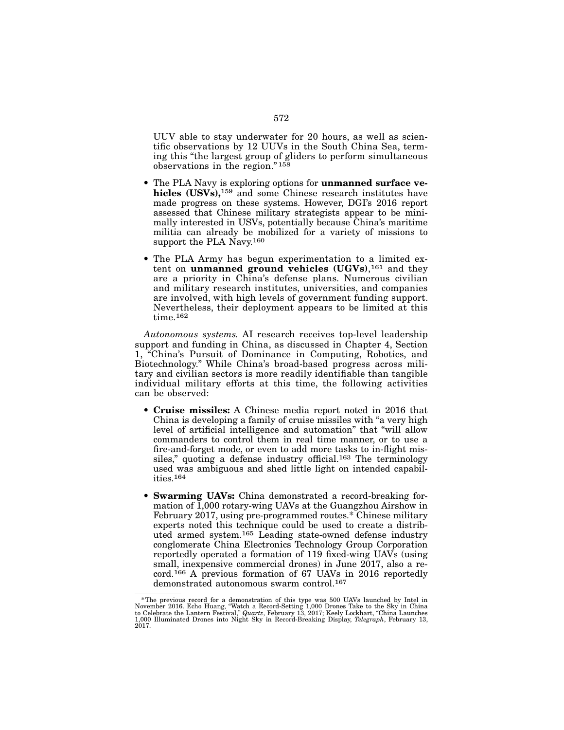UUV able to stay underwater for 20 hours, as well as scientific observations by 12 UUVs in the South China Sea, terming this "the largest group of gliders to perform simultaneous observations in the region." 158

- The PLA Navy is exploring options for unmanned surface vehicles (USVs),<sup>159</sup> and some Chinese research institutes have made progress on these systems. However, DGI's 2016 report assessed that Chinese military strategists appear to be minimally interested in USVs, potentially because China's maritime militia can already be mobilized for a variety of missions to support the PLA Navy.<sup>160</sup>
- The PLA Army has begun experimentation to a limited extent on unmanned ground vehicles  $(UGVs)$ ,<sup>161</sup> and they are a priority in China's defense plans. Numerous civilian and military research institutes, universities, and companies are involved, with high levels of government funding support. Nevertheless, their deployment appears to be limited at this time.<sup>162</sup>

*Autonomous systems.* AI research receives top-level leadership support and funding in China, as discussed in Chapter 4, Section 1, "China's Pursuit of Dominance in Computing, Robotics, and Biotechnology." While China's broad-based progress across military and civilian sectors is more readily identifiable than tangible individual military efforts at this time, the following activities can be observed:

- Cruise missiles: A Chinese media report noted in 2016 that China is developing a family of cruise missiles with "a very high level of artificial intelligence and automation" that "will allow commanders to control them in real time manner, or to use a fire-and-forget mode, or even to add more tasks to in-flight missiles," quoting a defense industry official.<sup>163</sup> The terminology used was ambiguous and shed little light on intended capabilities.164
- Swarming UAVs: China demonstrated a record-breaking formation of 1,000 rotary-wing UAVs at the Guangzhou Airshow in February 2017, using pre-programmed routes.\* Chinese military experts noted this technique could be used to create a distributed armed system.165 Leading state-owned defense industry conglomerate China Electronics Technology Group Corporation reportedly operated a formation of 119 fixed-wing UAVs (using small, inexpensive commercial drones) in June 2017, also a record.166 A previous formation of 67 UAVs in 2016 reportedly demonstrated autonomous swarm control.167

<sup>\*</sup>The previous record for a demonstration of this type was 500 UAVs launched by Intel in November 2016. Echo Huang, "Watch a Record-Setting 1,000 Drones Take to the Sky in China Diver to Celebrate the Lantern Festival," Qu 2017.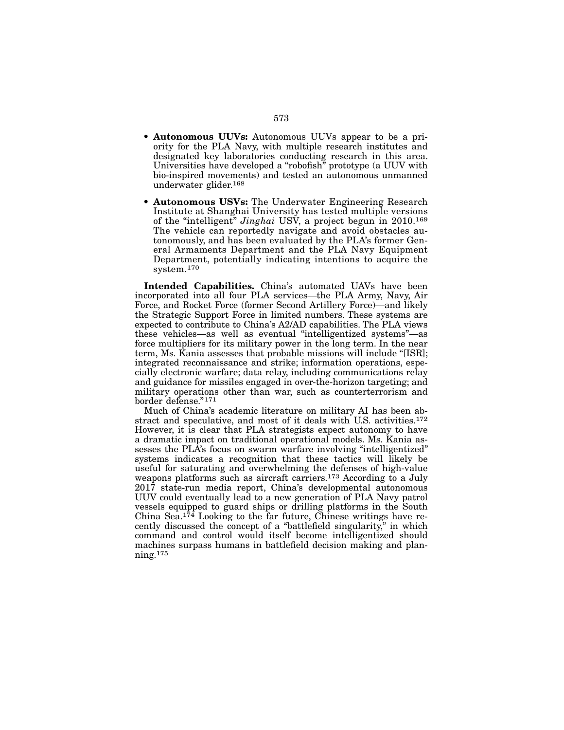- Autonomous UUVs: Autonomous UUVs appear to be a priority for the PLA Navy, with multiple research institutes and designated key laboratories conducting research in this area. Universities have developed a "robofish" prototype (a UUV with bio-inspired movements) and tested an autonomous unmanned underwater glider.168
- Autonomous USVs: The Underwater Engineering Research Institute at Shanghai University has tested multiple versions of the "intelligent" *Jinghai* USV, a project begun in 2010.169 The vehicle can reportedly navigate and avoid obstacles autonomously, and has been evaluated by the PLA's former General Armaments Department and the PLA Navy Equipment Department, potentially indicating intentions to acquire the system.170

Intended Capabilities. China's automated UAVs have been incorporated into all four PLA services—the PLA Army, Navy, Air Force, and Rocket Force (former Second Artillery Force)—and likely the Strategic Support Force in limited numbers. These systems are expected to contribute to China's A2/AD capabilities. The PLA views these vehicles—as well as eventual "intelligentized systems"—as force multipliers for its military power in the long term. In the near term, Ms. Kania assesses that probable missions will include "[ISR]; integrated reconnaissance and strike; information operations, especially electronic warfare; data relay, including communications relay and guidance for missiles engaged in over-the-horizon targeting; and military operations other than war, such as counterterrorism and border defense."171

Much of China's academic literature on military AI has been abstract and speculative, and most of it deals with U.S. activities.172 However, it is clear that PLA strategists expect autonomy to have a dramatic impact on traditional operational models. Ms. Kania assesses the PLA's focus on swarm warfare involving "intelligentized" systems indicates a recognition that these tactics will likely be useful for saturating and overwhelming the defenses of high-value weapons platforms such as aircraft carriers.<sup>173</sup> According to a July 2017 state-run media report, China's developmental autonomous UUV could eventually lead to a new generation of PLA Navy patrol vessels equipped to guard ships or drilling platforms in the South China Sea.174 Looking to the far future, Chinese writings have recently discussed the concept of a "battlefield singularity," in which command and control would itself become intelligentized should machines surpass humans in battlefield decision making and planning.175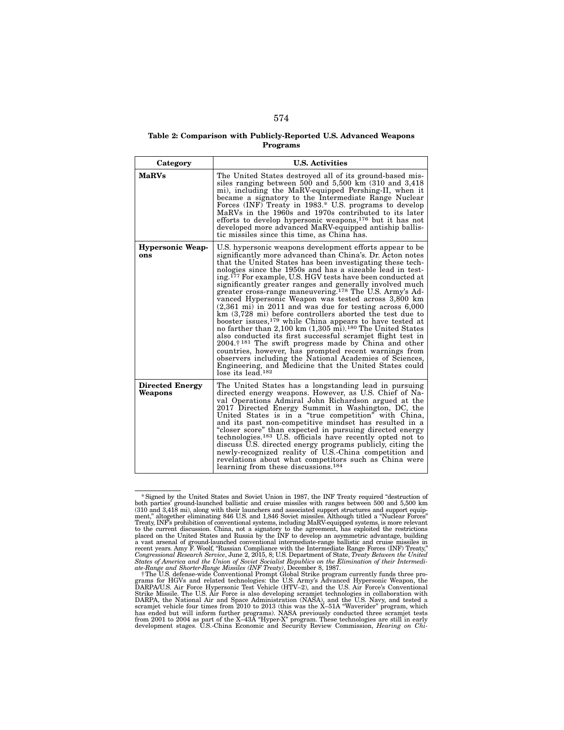### Table 2: Comparison with Publicly-Reported U.S. Advanced Weapons Programs

| Category                          | <b>U.S. Activities</b>                                                                                                                                                                                                                                                                                                                                                                                                                                                                                                                                                                                                                                                                                                                                                                                                                                                                                                                                                                                                                                                                                                                                                                          |
|-----------------------------------|-------------------------------------------------------------------------------------------------------------------------------------------------------------------------------------------------------------------------------------------------------------------------------------------------------------------------------------------------------------------------------------------------------------------------------------------------------------------------------------------------------------------------------------------------------------------------------------------------------------------------------------------------------------------------------------------------------------------------------------------------------------------------------------------------------------------------------------------------------------------------------------------------------------------------------------------------------------------------------------------------------------------------------------------------------------------------------------------------------------------------------------------------------------------------------------------------|
| <b>MaRVs</b>                      | The United States destroyed all of its ground-based mis-<br>siles ranging between 500 and $5,500 \text{ km}$ (310 and 3,418)<br>mi), including the MaRV-equipped Pershing-II, when it<br>became a signatory to the Intermediate Range Nuclear<br>Forces (INF) Treaty in 1983.* U.S. programs to develop<br>MaRVs in the 1960s and 1970s contributed to its later<br>efforts to develop hypersonic weapons, $176$ but it has not<br>developed more advanced MaRV-equipped antiship ballis-<br>tic missiles since this time, as China has.                                                                                                                                                                                                                                                                                                                                                                                                                                                                                                                                                                                                                                                        |
| <b>Hypersonic Weap-</b><br>ons    | U.S. hypersonic weapons development efforts appear to be<br>significantly more advanced than China's. Dr. Acton notes<br>that the United States has been investigating these tech-<br>nologies since the 1950s and has a sizeable lead in test-<br>ing. <sup>177</sup> For example, U.S. HGV tests have been conducted at<br>significantly greater ranges and generally involved much<br>greater cross-range maneuvering. <sup>178</sup> The U.S. Army's Ad-<br>vanced Hypersonic Weapon was tested across 3,800 km<br>$(2,361 \text{ mi})$ in 2011 and was due for testing across 6,000<br>$km(3,728 \text{ mi})$ before controllers aborted the test due to<br>booster issues, <sup>179</sup> while China appears to have tested at<br>no farther than $2,100 \text{ km}$ $(1,305 \text{ mi})$ . <sup>180</sup> The United States<br>also conducted its first successful scramjet flight test in<br>$2004.7181$ The swift progress made by China and other<br>countries, however, has prompted recent warnings from<br>observers including the National Academies of Sciences.<br>Engineering, and Medicine that the United States could<br>$\overline{\text{lose}}$ its lead. <sup>182</sup> |
| <b>Directed Energy</b><br>Weapons | The United States has a longstanding lead in pursuing<br>directed energy weapons. However, as U.S. Chief of Na-<br>val Operations Admiral John Richardson argued at the<br>2017 Directed Energy Summit in Washington, DC, the<br>United States is in a "true competition" with China,<br>and its past non-competitive mindset has resulted in a<br>"closer score" than expected in pursuing directed energy<br>technologies. <sup>183</sup> U.S. officials have recently opted not to<br>discuss U.S. directed energy programs publicly, citing the<br>newly-recognized reality of U.S.-China competition and<br>revelations about what competitors such as China were<br>learning from these discussions. <sup>184</sup>                                                                                                                                                                                                                                                                                                                                                                                                                                                                       |

<sup>\*</sup>Signed by the United States and Soviet Union in 1987, the INF Treaty required "destruction of both parties' ground-launched ballistic and cruise missiles with ranges between 500 and 5,500 km<br>(310 and 3,418 mi), along with their launchers and associated support structures and support equip-<br>ment," altogether elimina to the current discussion. China, not a signatory to the agreement, has exploited the restrictions placed on the United States and Russia by the INF to develop an asymmetric advantage, building a vast areanal of ground-lau *States of America and the Union of Soviet Socialist Republics on the Elimination of their Intermedi- ate-Range and Shorter-Range Missiles (INF Treaty)*, December 8, 1987.

<sup>&</sup>lt;sup>†</sup>The U.S. defense-wide Conventional Prompt Global Strike program currently funds three programs for HGVs and related technologies: the U.S. Army's Advanced Hypersonic Weapon, the D.S. Air Force's Conventional Strike Mis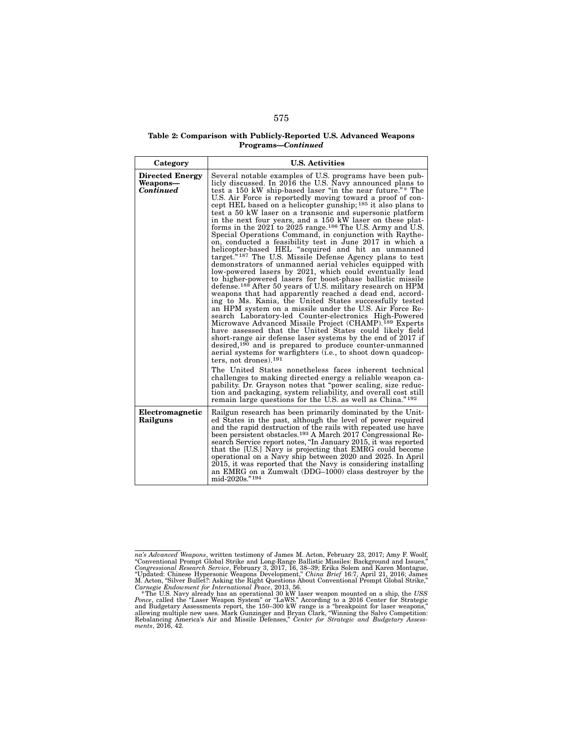## Table 2: Comparison with Publicly-Reported U.S. Advanced Weapons Programs—*Continued*

| Category                                        | <b>U.S. Activities</b>                                                                                                                                                                                                                                                                                                                                                                                                                                                                                                                                                                                                                                                                                                                                                                                                                                                                                                                                                                                                                                                                                                                                                                                                                                                                                                                                                                                                                                                                                                                                                                                                                                                                                                                                                                                                                                                                                                                                                                                    |
|-------------------------------------------------|-----------------------------------------------------------------------------------------------------------------------------------------------------------------------------------------------------------------------------------------------------------------------------------------------------------------------------------------------------------------------------------------------------------------------------------------------------------------------------------------------------------------------------------------------------------------------------------------------------------------------------------------------------------------------------------------------------------------------------------------------------------------------------------------------------------------------------------------------------------------------------------------------------------------------------------------------------------------------------------------------------------------------------------------------------------------------------------------------------------------------------------------------------------------------------------------------------------------------------------------------------------------------------------------------------------------------------------------------------------------------------------------------------------------------------------------------------------------------------------------------------------------------------------------------------------------------------------------------------------------------------------------------------------------------------------------------------------------------------------------------------------------------------------------------------------------------------------------------------------------------------------------------------------------------------------------------------------------------------------------------------------|
| <b>Directed Energy</b><br>Weapons-<br>Continued | Several notable examples of U.S. programs have been pub-<br>licly discussed. In 2016 the U.S. Navy announced plans to<br>test a 150 kW ship-based laser "in the near future."* The<br>U.S. Air Force is reportedly moving toward a proof of con-<br>cept HEL based on a helicopter gunship; <sup>185</sup> it also plans to<br>test a 50 kW laser on a transonic and supersonic platform<br>in the next four years, and a 150 kW laser on these plat-<br>forms in the $2021$ to $2025$ range. <sup>186</sup> The U.S. Army and U.S.<br>Special Operations Command, in conjunction with Raythe-<br>on, conducted a feasibility test in June 2017 in which a<br>helicopter-based HEL "acquired and hit an unmanned<br>target." <sup>187</sup> The U.S. Missile Defense Agency plans to test<br>demonstrators of unmanned aerial vehicles equipped with<br>low-powered lasers by 2021, which could eventually lead<br>to higher-powered lasers for boost-phase ballistic missile<br>defense. <sup>188</sup> After 50 years of U.S. military research on HPM<br>weapons that had apparently reached a dead end, accord-<br>ing to Ms. Kania, the United States successfully tested<br>an HPM system on a missile under the U.S. Air Force Re-<br>search Laboratory-led Counter-electronics High-Powered<br>Microwave Advanced Missile Project (CHAMP). <sup>189</sup> Experts<br>have assessed that the United States could likely field<br>short-range air defense laser systems by the end of 2017 if<br>desired, <sup>190</sup> and is prepared to produce counter-unmanned<br>aerial systems for warfighters (i.e., to shoot down quadcop-<br>ters. not drones). $191$<br>The United States nonetheless faces inherent technical<br>challenges to making directed energy a reliable weapon ca-<br>pability. Dr. Grayson notes that "power scaling, size reduc-<br>tion and packaging, system reliability, and overall cost still<br>remain large questions for the U.S. as well as China." <sup>192</sup> |
| Electromagnetic<br>Railguns                     | Railgun research has been primarily dominated by the Unit-<br>ed States in the past, although the level of power required<br>and the rapid destruction of the rails with repeated use have<br>been persistent obstacles. <sup>193</sup> A March 2017 Congressional Re-<br>search Service report notes, "In January 2015, it was reported<br>that the [U.S.] Navy is projecting that EMRG could become<br>operational on a Navy ship between 2020 and 2025. In April<br>2015, it was reported that the Navy is considering installing<br>an EMRG on a Zumwalt (DDG-1000) class destrover by the<br>mid-2020s."194                                                                                                                                                                                                                                                                                                                                                                                                                                                                                                                                                                                                                                                                                                                                                                                                                                                                                                                                                                                                                                                                                                                                                                                                                                                                                                                                                                                          |

na's Advanced Weapons, written testimony of James M. Acton, February 23, 2017; Amy F. Woolf, "Conventional Prompt Global Strike and Long-Range Ballistic Missiles: Background and Issues," Congressional Research Service, Fe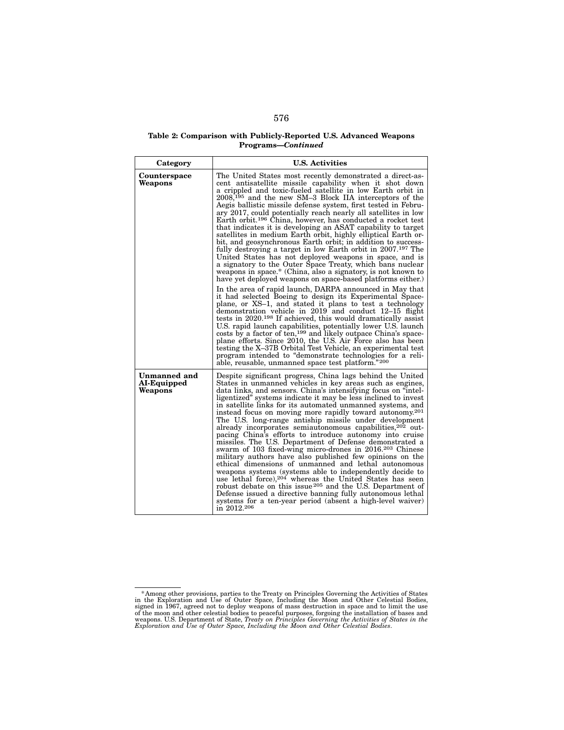## Table 2: Comparison with Publicly-Reported U.S. Advanced Weapons Programs—*Continued*

| Category                               | <b>U.S. Activities</b>                                                                                                                                                                                                                                                                                                                                                                                                                                                                                                                                                                                                                                                                                                                                                                                                                                                                                                                                                                                                                                                                                                                                                                                                                                                                                                                                                                                                                                                                                                                                                                                                                                                                                                                    |
|----------------------------------------|-------------------------------------------------------------------------------------------------------------------------------------------------------------------------------------------------------------------------------------------------------------------------------------------------------------------------------------------------------------------------------------------------------------------------------------------------------------------------------------------------------------------------------------------------------------------------------------------------------------------------------------------------------------------------------------------------------------------------------------------------------------------------------------------------------------------------------------------------------------------------------------------------------------------------------------------------------------------------------------------------------------------------------------------------------------------------------------------------------------------------------------------------------------------------------------------------------------------------------------------------------------------------------------------------------------------------------------------------------------------------------------------------------------------------------------------------------------------------------------------------------------------------------------------------------------------------------------------------------------------------------------------------------------------------------------------------------------------------------------------|
| Counterspace<br>Weapons                | The United States most recently demonstrated a direct-as-<br>cent antisatellite missile capability when it shot down<br>a crippled and toxic-fueled satellite in low Earth orbit in<br>$2008$ <sup>195</sup> and the new SM-3 Block IIA interceptors of the<br>Aegis ballistic missile defense system, first tested in Febru-<br>ary 2017, could potentially reach nearly all satellites in low<br>Earth orbit. <sup>196</sup> China, however, has conducted a rocket test<br>that indicates it is developing an ASAT capability to target<br>satellites in medium Earth orbit, highly elliptical Earth or-<br>bit, and geosynchronous Earth orbit; in addition to success-<br>fully destroying a target in low Earth orbit in 2007. <sup>197</sup> The<br>United States has not deployed weapons in space, and is<br>a signatory to the Outer Space Treaty, which bans nuclear<br>weapons in space.* (China, also a signatory, is not known to<br>have yet deployed weapons on space-based platforms either.)<br>In the area of rapid launch, DARPA announced in May that<br>it had selected Boeing to design its Experimental Space-<br>plane, or XS-1, and stated it plans to test a technology<br>demonstration vehicle in 2019 and conduct 12–15 flight<br>tests in 2020. <sup>198</sup> If achieved, this would dramatically assist<br>U.S. rapid launch capabilities, potentially lower U.S. launch<br>costs by a factor of ten, <sup>199</sup> and likely outpace China's space-<br>plane efforts. Since 2010, the U.S. Air Force also has been<br>testing the X-37B Orbital Test Vehicle, an experimental test<br>program intended to "demonstrate technologies for a reli-<br>able, reusable, unmanned space test platform."200 |
| Unmanned and<br>AI-Equipped<br>Weapons | Despite significant progress, China lags behind the United<br>States in unmanned vehicles in key areas such as engines,<br>data links, and sensors. China's intensifying focus on "intel-<br>ligentized" systems indicate it may be less inclined to invest<br>in satellite links for its automated unmanned systems, and<br>instead focus on moving more rapidly toward autonomy <sup>201</sup><br>The U.S. long-range antiship missile under development<br>already incorporates semiautonomous capabilities, <sup>202</sup> out-<br>pacing China's efforts to introduce autonomy into cruise<br>missiles. The U.S. Department of Defense demonstrated a<br>swarm of 103 fixed-wing micro-drones in 2016. <sup>203</sup> Chinese<br>military authors have also published few opinions on the<br>ethical dimensions of unmanned and lethal autonomous<br>weapons systems (systems able to independently decide to<br>use lethal force), 204 whereas the United States has seen<br>robust debate on this issue <sup>205</sup> and the U.S. Department of<br>Defense issued a directive banning fully autonomous lethal<br>systems for a ten-year period (absent a high-level waiver)<br>in 2012. <sup>206</sup>                                                                                                                                                                                                                                                                                                                                                                                                                                                                                                                           |

<sup>\*</sup>Among other provisions, parties to the Treaty on Principles Governing the Activities of States<br>in the Exploration and Use of Outer Space, Including the Moon and Other Celestial Bodies,<br>signed in 1967, agreed not to deplo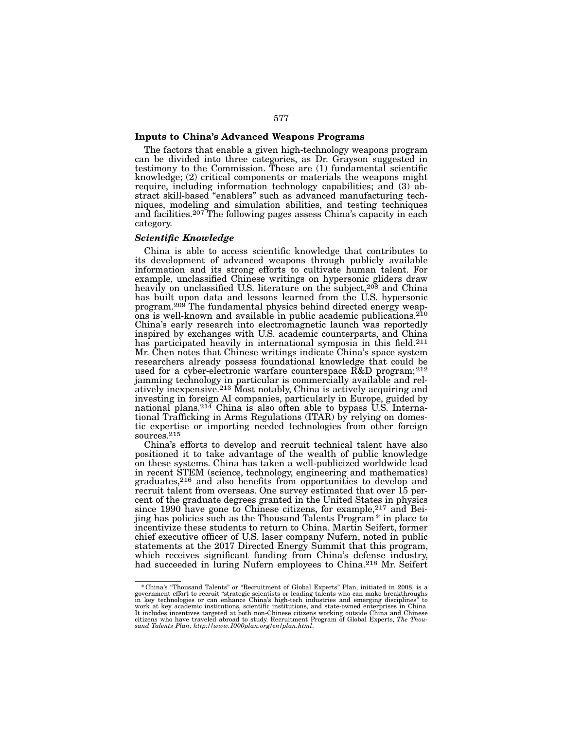## Inputs to China's Advanced Weapons Programs

The factors that enable a given high-technology weapons program can be divided into three categories, as Dr. Grayson suggested in testimony to the Commission. These are (1) fundamental scientific knowledge; (2) critical components or materials the weapons might require, including information technology capabilities; and (3) abstract skill-based "enablers" such as advanced manufacturing tech-<br>niques, modeling and simulation abilities, and testing techniques and facilities.207 The following pages assess China's capacity in each category.

## *Scientific Knowledge*

China is able to access scientific knowledge that contributes to its development of advanced weapons through publicly available information and its strong efforts to cultivate human talent. For example, unclassified Chinese writings on hypersonic gliders draw heavily on unclassified U.S. literature on the subject,<sup>208</sup> and China has built upon data and lessons learned from the U.S. hypersonic program.<sup>209</sup> The fundamental physics behind directed energy weap-<br>ons is well-known and available in public academic publications.<sup>210</sup> China's early research into electromagnetic launch was reportedly inspired by exchanges with U.S. academic counterparts, and China has participated heavily in international symposia in this field.<sup>211</sup> Mr. Chen notes that Chinese writings indicate China's space system researchers already possess foundational knowledge that could be used for a cyber-electronic warfare counterspace  $R\&D$  program;<sup>212</sup> jamming technology in particular is commercially available and reljamming technology in particular is commercially available and rel-<br>atively inexpensive.<sup>213</sup> Most notably, China is actively acquiring and investing in foreign AI companies, particularly in Europe, guided by national plans.<sup>214</sup> China is also often able to bypass U.S. International Trafficking in Arms Regulations (ITAR) by relying on domestic expertise or importing needed technologies from other foreign tic expertise or importing needed technologies from other foreign<br>sources.<sup>215</sup>

China's efforts to develop and recruit technical talent have also positioned it to take advantage of the wealth of public knowledge on these systems. China has taken a well-publicized worldwide lead in recent STEM (science, technology, engineering and mathematics) graduates,216 and also benefits from opportunities to develop and recruit talent from overseas. One survey estimated that over 15 percent of the graduate degrees granted in the United States in physics since 1990 have gone to Chinese citizens, for example,<sup>217</sup> and Beijing has policies such as the Thousand Talents Program\* in place to incentivize these students to return to China. Martin Seifert, former chief executive officer of U.S. laser company Nufern, noted in public statements at the 2017 Directed Energy Summit that this program, which receives significant funding from China's defense industry, had succeeded in luring Nufern employees to China.<sup>218</sup> Mr. Seifert

<sup>\*</sup> China's "Thousand Talents" or "Recruitment of Global Experts" Plan, initiated in 2008, is a government effort to recruit "strategic scientists or leading talents in key technologies or can enhance China's high-tech indu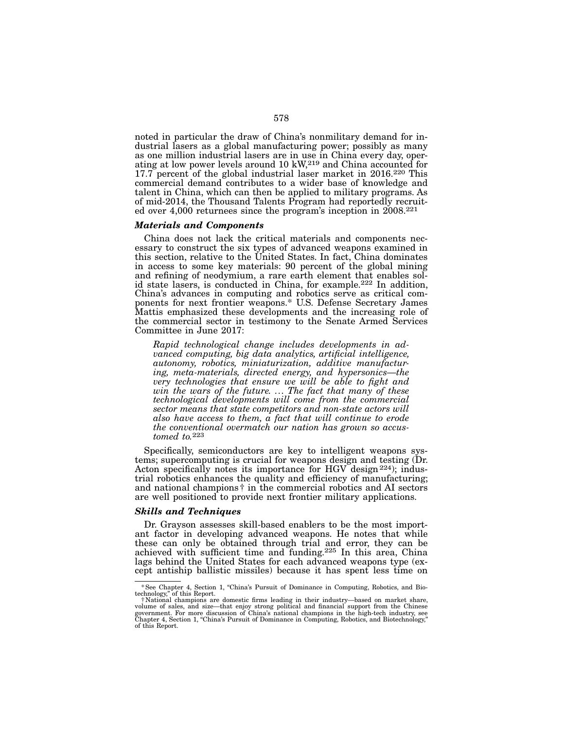noted in particular the draw of China's nonmilitary demand for industrial lasers as a global manufacturing power; possibly as many as one million industrial lasers are in use in China every day, oper-<br>ating at low power levels around 10 kW,<sup>219</sup> and China accounted for 17.7 percent of the global industrial laser market in 2016.<sup>220</sup> This commercial demand contributes to a wider base of knowledge and talent in China, which can then be applied to military programs. As ed over  $4,000$  returnees since the program's inception in  $2008<sup>.221</sup>$ 

### *Materials and Components*

China does not lack the critical materials and components nec- essary to construct the six types of advanced weapons examined in this section, relative to the United States. In fact, China dominates in access to some key materials: 90 percent of the global mining and refining of neodymium, a rare earth element that enables solid state lasers, is conducted in China, for example.222 In addition, China's advances in computing and robotics serve as critical components for next frontier weapons.\* U.S. Defense Secretary James Mattis emphasized these developments and the increasing role of the commercial sector in testimony to the Senate Armed Services Committee in June 2017:

*Rapid technological change includes developments in advanced computing, big data analytics, artificial intelligence, autonomy, robotics, miniaturization, additive manufacturing, meta-materials, directed energy, and hypersonics—the very technologies that ensure we will be able to fight and win the wars of the future. ... The fact that many of these technological developments will come from the commercial sector means that state competitors and non-state actors will also have access to them, a fact that will continue to erode the conventional overmatch our nation has grown so accus- tomed to.*<sup>223</sup>

Specifically, semiconductors are key to intelligent weapons systems; supercomputing is crucial for weapons design and testing (Dr. Acton specifically notes its importance for HGV design<sup>224</sup>); industrial robotics enhances the quality and efficiency of manufacturing; and national champions† in the commercial robotics and AI sectors are well positioned to provide next frontier military applications.

#### *Skills and Techniques*

Dr. Grayson assesses skill-based enablers to be the most important factor in developing advanced weapons. He notes that while these can only be obtained through trial and error, they can be achieved with sufficient time and funding.225 In this area, China lags behind the United States for each advanced weapons type (except antiship ballistic missiles) because it has spent less time on

<sup>\*</sup>See Chapter 4, Section 1, "China's Pursuit of Dominance in Computing, Robotics, and Bio- technology," of this Report. †National champions are domestic firms leading in their industry—based on market share,

volume of sales, and size—that enjoy strong political and financial support from the Chinese<br>government. For more discussion of China's national champions in the high-tech industry, see<br>Chapter 4, Section 1, "China's Pursu of this Report.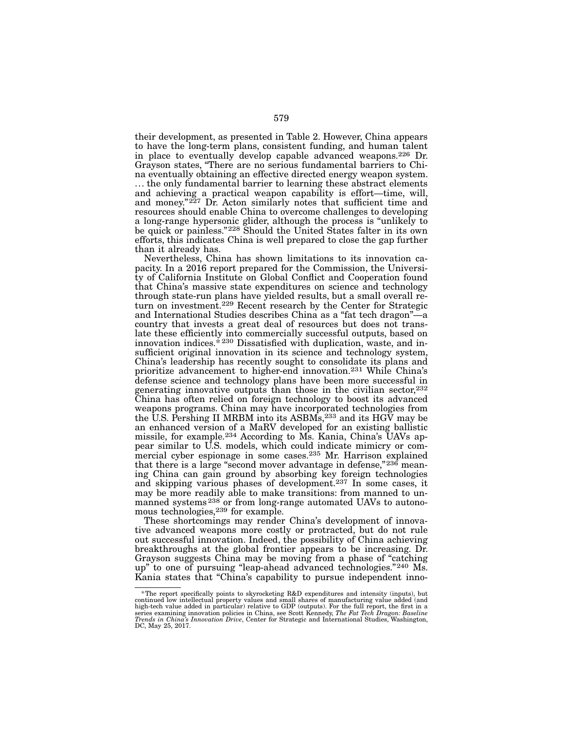their development, as presented in Table 2. However, China appears to have the long-term plans, consistent funding, and human talent in place to eventually develop capable advanced weapons.226 Dr. Grayson states, "There are no serious fundamental barriers to China eventually obtaining an effective directed energy weapon system. ... the only fundamental barrier to learning these abstract elements and achieving a practical weapon capability is effort—time, will, and money."<sup>227</sup> Dr. Acton similarly notes that sufficient time and resources should enable China to overcome challenges to developing a long-range hypersonic glider, although the process is "unlikely to be quick or painless."228 Should the United States falter in its own efforts, this indicates China is well prepared to close the gap further than it already has.

Nevertheless, China has shown limitations to its innovation capacity. In a 2016 report prepared for the Commission, the University of California Institute on Global Conflict and Cooperation found that China's massive state expenditures on science and technology through state-run plans have yielded results, but a small overall return on investment.229 Recent research by the Center for Strategic and International Studies describes China as a "fat tech dragon"—a country that invests a great deal of resources but does not translate these efficiently into commercially successful outputs, based on innovation indices. $*$  230 Dissatisfied with duplication, waste, and insufficient original innovation in its science and technology system, China's leadership has recently sought to consolidate its plans and prioritize advancement to higher-end innovation.231 While China's defense science and technology plans have been more successful in generating innovative outputs than those in the civilian sector,<sup>232</sup> China has often relied on foreign technology to boost its advanced weapons programs. China may have incorporated technologies from the U.S. Pershing II MRBM into its ASBMs,233 and its HGV may be an enhanced version of a MaRV developed for an existing ballistic missile, for example.<sup>234</sup> According to Ms. Kania, China's UAVs appear similar to U.S. models, which could indicate mimicry or commercial cyber espionage in some cases.235 Mr. Harrison explained that there is a large "second mover advantage in defense,"236 meaning China can gain ground by absorbing key foreign technologies and skipping various phases of development.237 In some cases, it may be more readily able to make transitions: from manned to unmanned systems<sup>238</sup> or from long-range automated UAVs to autonomous technologies,<sup>239</sup> for example.

These shortcomings may render China's development of innovative advanced weapons more costly or protracted, but do not rule out successful innovation. Indeed, the possibility of China achieving breakthroughs at the global frontier appears to be increasing. Dr. Grayson suggests China may be moving from a phase of "catching up" to one of pursuing "leap-ahead advanced technologies."<sup>240</sup> Ms. Kania states that "China's capability to pursue independent inno-

f The report specifically points to skyrocketing R&D expenditures and intensity (inputs), but "<br>continued low intellectual property values and small shares of manufacturing value added (and<br>high-tech value added in particu series examining innovation policies in China, see Scott Kennedy, *The Fat Tech Dragon: Baseline Trends in China's Innovation Drive*, Center for Strategic and International Studies, Washington, DC, May 25, 2017.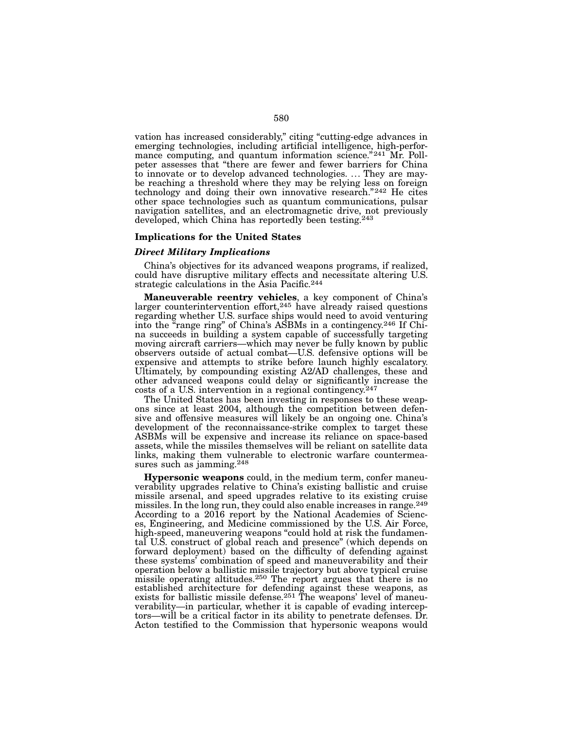vation has increased considerably," citing "cutting-edge advances in emerging technologies, including artificial intelligence, high-perfor-<br>mance computing, and quantum information science." $^{241}$  Mr. Poll-<br>peter assesses that "there are fewer and fewer barriers for China<br>to innovate or t be reaching a threshold where they may be relying less on foreign technology and doing their own innovative research."242 He cites other space technologies such as quantum communications, pulsar navigation satellites, and an electromagnetic drive, not previously developed, which China has reportedly been testing.<sup>243</sup>

#### Implications for the United States

## *Direct Military Implications*

China's objectives for its advanced weapons programs, if realized, could have disruptive military effects and necessitate altering U.S. strategic calculations in the Asia Pacific.<sup>244</sup>

Maneuverable reentry vehicles, a key component of China's larger counterintervention effort,  $245$  have already raised questions regarding whether U.S. surface ships would need to avoid venturing into the "range ring" of China's ASBMs in a contingency.246 If China succeeds in building a system capable of successfully targeting moving aircraft carriers—which may never be fully known by public observers outside of actual combat—U.S. defensive options will be expensive and attempts to strike before launch highly escalatory. Ultimately, by compounding existing A2/AD challenges, these and other advanced weapons could delay or significantly increase the costs of a U.S. intervention in a regional contingency.<sup>247</sup>

The United States has been investing in responses to these weapons since at least 2004, although the competition between defensive and offensive measures will likely be an ongoing one. China's development of the reconnaissance-strike complex to target these ASBMs will be expensive and increase its reliance on space-based assets, while the missiles themselves will be reliant on satellite data links, making them vulnerable to electronic warfare countermeasures such as jamming.<sup>248</sup>

Hypersonic weapons could, in the medium term, confer maneuverability upgrades relative to China's existing ballistic and cruise missile arsenal, and speed upgrades relative to its existing cruise missiles. In the long run, they could also enable increases in range.<sup>249</sup> According to a 2016 report by the National Academies of Sciences, Engineering, and Medicine commissioned by the U.S. Air Force, high-speed, maneuvering weapons "could hold at risk the fundamental U.S. construct of global reach and presence" (which depends on forward deployment) based on the difficulty of defending against these systems' combination of speed and maneuverability and their operation below a ballistic missile trajectory but above typical cruise missile operating altitudes.<sup>250</sup> The report argues that there is no established architecture for defending against these weapons, as exists for ballistic missile defense.<sup>251</sup> The weapons' level of maneuverability—in particular, whether it is capable of evading interceptors—will be a critical factor in its ability to penetrate defenses. Dr. Acton testified to the Commission that hypersonic weapons would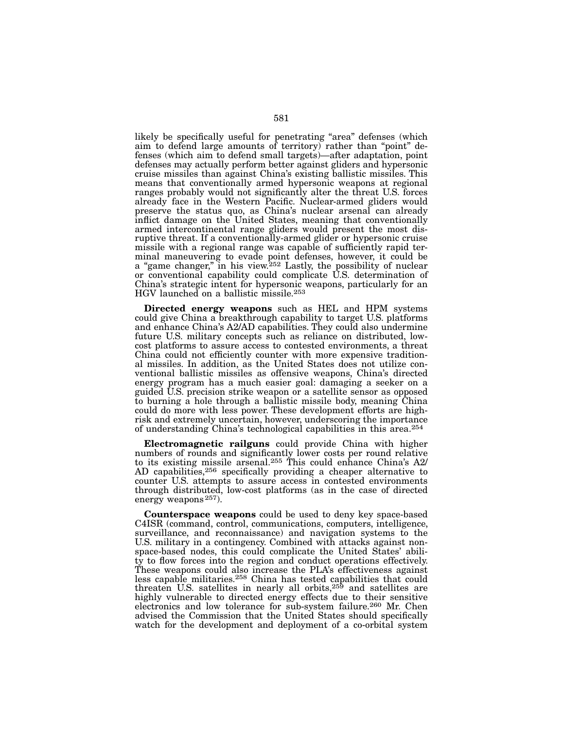likely be specifically useful for penetrating "area" defenses (which aim to defend large amounts of territory) rather than "point" de- fenses (which aim to defend small targets)—after adaptation, point defenses may actually perform better against gliders and hypersonic cruise missiles than against China's existing ballistic missiles. This means that conventionally armed hypersonic weapons at regional ranges probably would not significantly alter the threat U.S. forces already face in the Western Pacific. Nuclear-armed gliders would preserve the status quo, as China's nuclear arsenal can already inflict damage on the United States, meaning that conventionally armed intercontinental range gliders would present the most dis- ruptive threat. If a conventionally-armed glider or hypersonic cruise missile with a regional range was capable of sufficiently rapid ter- minal maneuvering to evade point defenses, however, it could be a "game changer," in his view.252 Lastly, the possibility of nuclear or conventional capability could complicate U.S. determination of China's strategic intent for hypersonic weapons, particularly for an HGV launched on a ballistic missile.253

Directed energy weapons such as HEL and HPM systems could give China a breakthrough capability to target U.S. platforms and enhance China's A2/AD capabilities. They could also undermine future U.S. military concepts such as reliance on distributed, lowcost platforms to assure access to contested environments, a threat China could not efficiently counter with more expensive traditional missiles. In addition, as the United States does not utilize conventional ballistic missiles as offensive weapons, China's directed energy program has a much easier goal: damaging a seeker on a guided U.S. precision strike weapon or a satellite sensor as opposed to burning a hole through a ballistic missile body, meaning China could do more with less power. These development efforts are highrisk and extremely uncertain, however, underscoring the importance of understanding China's technological capabilities in this area.254

Electromagnetic railguns could provide China with higher numbers of rounds and significantly lower costs per round relative to its existing missile arsenal.<sup>255</sup> This could enhance China's A2/ AD capabilities,<sup>256</sup> specifically providing a cheaper alternative to counter U.S. attempts to assure access in contested environments through distributed, low-cost platforms (as in the case of directed energy weapons<sup>257</sup>).

Counterspace weapons could be used to deny key space-based C4ISR (command, control, communications, computers, intelligence, surveillance, and reconnaissance) and navigation systems to the U.S. military in a contingency. Combined with attacks against nonspace-based nodes, this could complicate the United States' ability to flow forces into the region and conduct operations effectively. These weapons could also increase the PLA's effectiveness against less capable militaries.258 China has tested capabilities that could threaten U.S. satellites in nearly all orbits, $25\frac{5}{9}$  and satellites are highly vulnerable to directed energy effects due to their sensitive electronics and low tolerance for sub-system failure.260 Mr. Chen advised the Commission that the United States should specifically watch for the development and deployment of a co-orbital system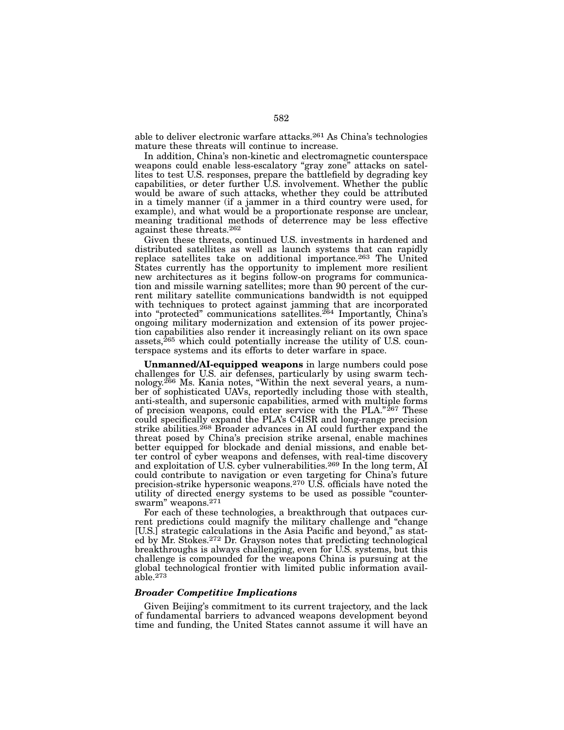able to deliver electronic warfare attacks.261 As China's technologies mature these threats will continue to increase.

In addition, China's non-kinetic and electromagnetic counterspace weapons could enable less-escalatory "gray zone" attacks on satellites to test U.S. responses, prepare the battlefield by degrading key capabilities, or deter further U.S. involvement. Whether the public would be aware of such attacks, whether they could be attributed in a timely manner (if a jammer in a third country were used, for example), and what would be a proportionate response are unclear, meaning traditional methods of deterrence may be less effective against these threats.262

Given these threats, continued U.S. investments in hardened and distributed satellites as well as launch systems that can rapidly replace satellites take on additional importance.263 The United States currently has the opportunity to implement more resilient new architectures as it begins follow-on programs for communication and missile warning satellites; more than 90 percent of the current military satellite communications bandwidth is not equipped with techniques to protect against jamming that are incorporated into "protected" communications satellites.<sup>264</sup> Importantly, China's ongoing military modernization and extension of its power projection capabilities also render it increasingly reliant on its own space assets, ${}^{265}$  which could potentially increase the utility of U.S. counterspace systems and its efforts to deter warfare in space.

Unmanned/AI-equipped weapons in large numbers could pose challenges for U.S. air defenses, particularly by using swarm tech- nology.266 Ms. Kania notes, "Within the next several years, a num- ber of sophisticated UAVs, reportedly including those with stealth, anti-stealth, and supersonic capabilities, armed with multiple forms of precision weapons, could enter service with the PLA."<sup>267</sup> These could specifically expand the PLA's C4ISR and long-range precision strike abilities.<sup>268</sup> Broader advances in AI could further expand the threat posed by China's precision strike arsenal, enable machines better equipped for blockade and denial missions, and enable bet-<br>ter control of cyber weapons and defenses, with real-time discovery and exploitation of U.S. cyber vulnerabilities.<sup>269</sup> In the long term, AI could contribute to navigation or even targeting for China's future precision-strike hypersonic weapons.270 U.S. officials have noted the utility of directed energy systems to be used as possible "counter-<br>swarm" weapons.<sup>271</sup>

For each of these technologies, a breakthrough that outpaces current predictions could magnify the military challenge and "change [U.S.] strategic calculations in the Asia Pacific and beyond," as stated by Mr. Stokes.272 Dr. Grayson notes that predicting technological breakthroughs is always challenging, even for U.S. systems, but this challenge is compounded for the weapons China is pursuing at the global technological frontier with limited public information available.273

## *Broader Competitive Implications*

Given Beijing's commitment to its current trajectory, and the lack of fundamental barriers to advanced weapons development beyond time and funding, the United States cannot assume it will have an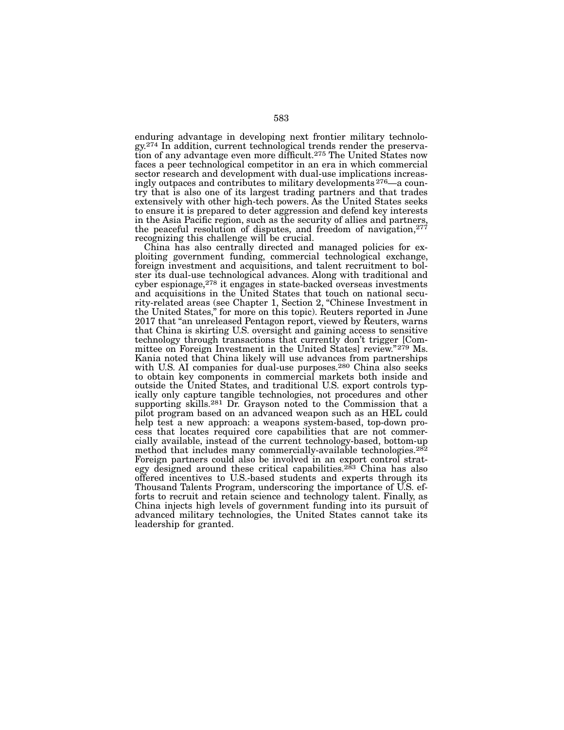enduring advantage in developing next frontier military technology.<sup>274</sup> In addition, current technological trends render the preservation of any advantage even more difficult.<sup>275</sup> The United States now faces a peer technological competitor in an era in which commercial ingly outpaces and contributes to military developments  $276$ —a coun-<br>try that is also one of its largest trading partners and that trades extensively with other high-tech powers. As the United States seeks to ensure it is prepared to deter aggression and defend key interests in the Asia Pacific region, such as the security of allies and partners, the peaceful resolution of disputes, and freedom of navigation,277 recognizing this challenge will be crucial.<br>China has also centrally directed and managed policies for ex-

China has also centrally directed and managed policies for ex- ploiting government funding, commercial technological exchange, foreign investment and acquisitions, and talent recruitment to bol- ster its dual-use technological advances. Along with traditional and cyber espionage,<sup>278</sup> it engages in state-backed overseas investments<br>and acquisitions in the United States that touch on national security-related areas (see Chapter 1, Section 2, "Chinese Investment in the United States," for more on this topic). Reuters reported in June 2017 that "an unreleased Pentagon report, viewed by Reuters, warns that China is skirting U.S. oversight and gaining access to sensitive technology through transactions that currently don't trigger [Com- mittee on Foreign Investment in the United States] review."279 Ms. Kania noted that China likely will use advances from partnerships with U.S. AI companies for dual-use purposes.<sup>280</sup> China also seeks to obtain key components in commercial markets both inside and outside the United States, and traditional U.S. export controls typically only capture tangible technologies, not procedures and other supporting skills.<sup>281</sup> Dr. Grayson noted to the Commission that a pilot program based on an advanced weapon such as an HEL could help test a new approach: a weapons system-based, top-down process that locates required core capabilities that are not commercially available, instead of the current technology-based, bottom-up method that includes many commercially-available technologies.<sup>282</sup> Foreign partners could also be involved in an export control strategy designed around these critical capabilities.<sup>283</sup> China has also offered incentives to U.S.-based students and experts through its Thousand Talents Program, underscoring the importance of U.S. efforts to recruit and retain science and technology talent. Finally, as China injects high levels of government funding into its pursuit of advanced military technologies, the United States cannot take its leadership for granted.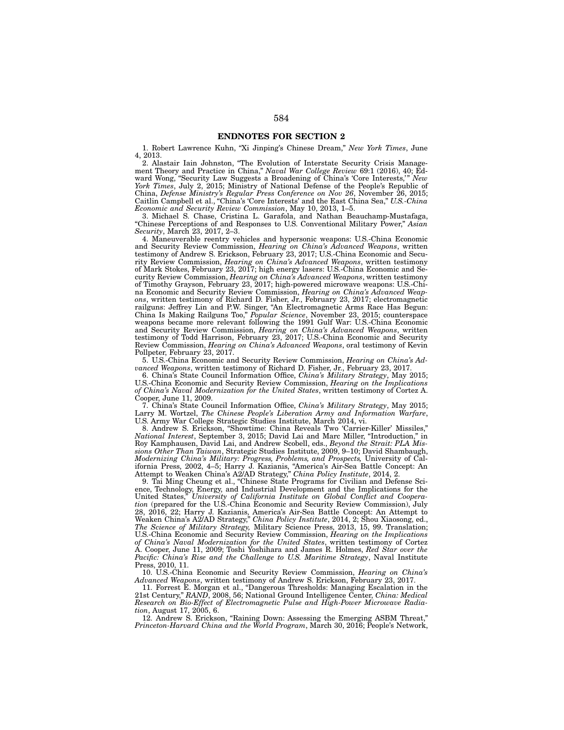### ENDNOTES FOR SECTION 2

1. Robert Lawrence Kuhn, "Xi Jinping's Chinese Dream," *New York Times*, June 4, 2013.

2. Alastair Iain Johnston, "The Evolution of Interstate Security Crisis Management Theory and Practice in China," *Naval War College Review* 69:1 (2016), 40; Edward Wong, "Security Law Suggests a Broadening of China's 'Core Interests,'" *New York Times*, July 2, 2015; Ministry of National Defense of the People's Republic of China, *Defense Ministry's Regular Press Conference on Nov 26*, November 26, 2015; Caitlin Campbell et al., "China's 'Core Interests' and the East China Sea," *U.S.-China Economic and Security Review Commission*, May 10, 2013, 1–5.

3. Michael S. Chase, Cristina L. Garafola, and Nathan Beauchamp-Mustafaga, "Chinese Perceptions of and Responses to U.S. Conventional Military Power," *Asian Security*, March 23, 2017, 2–3.

4. Maneuverable reentry vehicles and hypersonic weapons: U.S.-China Economic and Security Review Commission, *Hearing* on China's Advanced Weapons, written testimony of Andrew S. Erickson, February 23, 2017; U.S.-China Economic and Security Review Commission, *Hearing on China's Advanced Weapons*, written testimony of Mark Stokes, February 23, 2017; high energy lasers: U.S.-China Economic and Security Review Commission, *Hearing on China's Advanced Weapons*, written testimony of Timothy Grayson, February 23, 2017; high-powered microwave weapons: U.S.-China Economic and Security Review Commission, *Hearing on China's Advanced Weapons*, written testimony of Richard D. Fisher, Jr., February 23, 2017; electromagnetic railguns: Jeffrey Lin and P.W. Singer, "An Electromagnetic Arms Race Has Begun: China Is Making Railguns Too," *Popular Science*, November 23, 2015; counterspace weapons became more relevant following the 1991 Gulf War: U.S.-China Economic and Security Review Commission, *Hearing on China's Advanced Weapons*, written testimony of Todd Harrison, February 23, 2017; U.S.-China Economic and Security Review Commission, *Hearing on China's Advanced Weapons*, oral testimony of Kevin Pollpeter, February 23, 2017.

5. U.S.-China Economic and Security Review Commission, *Hearing on China's Advanced Weapons*, written testimony of Richard D. Fisher, Jr., February 23, 2017.

6. China's State Council Information Office, *China's Military Strategy*, May 2015; U.S.-China Economic and Security Review Commission, *Hearing on the Implications of China's Naval Modernization for the United States*, written testimony of Cortez A. Cooper, June 11, 2009.

7. China's State Council Information Office, *China's Military Strategy*, May 2015; Larry M. Wortzel, *The Chinese People's Liberation Army and Information Warfare*, U.S. Army War College Strategic Studies Institute, March 2014, vi.

8. Andrew S. Erickson, "Showtime: China Reveals Two 'Carrier-Killer' Missiles," *National Interest*, September 3, 2015; David Lai and Marc Miller, "Introduction," in Roy Kamphausen, David Lai, and Andrew Scobell, eds., *Beyond the Strait: PLA Missions Other Than Taiwan*, Strategic Studies Institute, 2009, 9–10; David Shambaugh, *Modernizing China's Military: Progress, Problems, and Prospects,* University of California Press, 2002, 4–5; Harry J. Kazianis, "America's Air-Sea Battle Concept: An Attempt to Weaken China's A2/AD Strategy," *China Policy Institute*, 2014, 2.

9. Tai Ming Cheung et al., "Chinese State Programs for Civilian and Defense Science, Technology, Energy, and Industrial Development and the Implications for the United States," *University of California Institute on Global Conflict and Cooperation* (prepared for the U.S.-China Economic and Security Review Commission), July 28, 2016, 22; Harry J. Kazianis, America's Air-Sea Battle Concept: An Attempt to Weaken China's A2/AD Strategy," *China Policy Institute*, 2014, 2; Shou Xiaosong, ed., *The Science of Military Strategy,* Military Science Press, 2013, 15, 99. Translation; U.S.-China Economic and Security Review Commission, *Hearing on the Implications of China's Naval Modernization for the United States*, written testimony of Cortez A. Cooper, June 11, 2009; Toshi Yoshihara and James R. Holmes, *Red Star over the Pacific: China's Rise and the Challenge to U.S. Maritime Strategy*, Naval Institute Press, 2010, 11.

10. U.S.-China Economic and Security Review Commission, *Hearing on China's Advanced Weapons*, written testimony of Andrew S. Erickson, February 23, 2017.

11. Forrest E. Morgan et al., "Dangerous Thresholds: Managing Escalation in the 21st Century," *RAND*, 2008, 56; National Ground Intelligence Center, *China: Medical Research on Bio-Effect of Electromagnetic Pulse and High-Power Microwave Radiation*, August 17, 2005, 6.

12. Andrew S. Erickson, "Raining Down: Assessing the Emerging ASBM Threat," *Princeton-Harvard China and the World Program*, March 30, 2016; People's Network,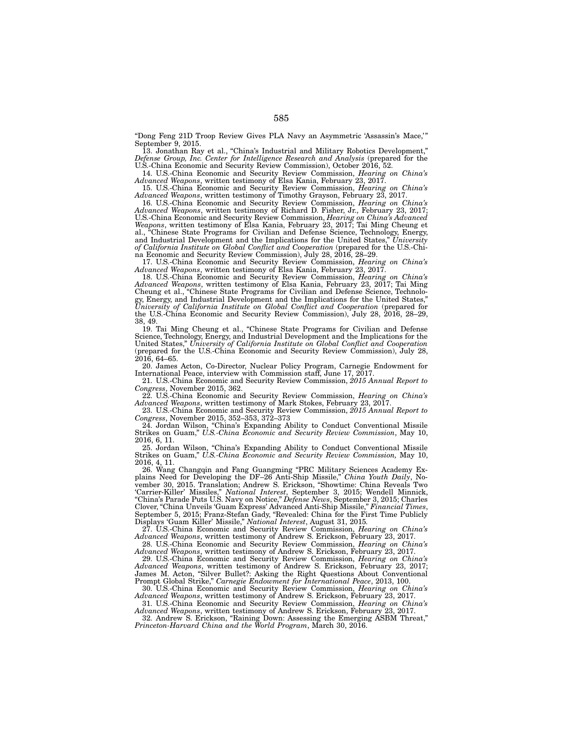"Dong Feng 21D Troop Review Gives PLA Navy an Asymmetric 'Assassin's Mace,'" September 9, 2015.

13. Jonathan Ray et al., "China's Industrial and Military Robotics Development," *Defense Group, Inc. Center for Intelligence Research and Analysis* (prepared for the U.S.-China Economic and Security Review Commission), October 2016, 52.

14. U.S.-China Economic and Security Review Commission, *Hearing on China's Advanced Weapons*, written testimony of Elsa Kania, February 23, 2017.

15. U.S.-China Economic and Security Review Commission, *Hearing on China's Advanced Weapons*, written testimony of Timothy Grayson, February 23, 2017.

16. U.S.-China Economic and Security Review Commission, *Hearing on China's Advanced Weapons*, written testimony of Richard D. Fisher, Jr., February 23, 2017; U.S.-China Economic and Security Review Commission, *Hearing on China's Advanced Weapons*, written testimony of Elsa Kania, February 23, 2017; Tai Ming Cheung et al., "Chinese State Programs for Civilian and Defense Science, Technology, Energy, and Industrial Development and the Implications for the United States," *University of California Institute on Global Conflict and Cooperation* (prepared for the U.S.-China Economic and Security Review Commission), July 28, 2016, 28–29.

17. U.S.-China Economic and Security Review Commission, *Hearing on China's Advanced Weapons*, written testimony of Elsa Kania, February 23, 2017.

18. U.S.-China Economic and Security Review Commission, *Hearing on China's Advanced Weapons*, written testimony of Elsa Kania, February 23, 2017; Tai Ming Cheung et al., "Chinese State Programs for Civilian and Defense Science, Technology, Energy, and Industrial Development and the Implications for the United States," *University of California Institute on Global Conflict and Cooperation* (prepared for the U.S.-China Economic and Security Review Commission), July 28, 2016, 28–29, 38, 49.

19. Tai Ming Cheung et al., "Chinese State Programs for Civilian and Defense Science, Technology, Energy, and Industrial Development and the Implications for the<br>United States," University of California Institute on Global Conflict and Cooperation United States," *University of California Institute on Global Conflict and Cooperation* (prepared for the U.S.-China Economic and Security Review Commission), July 28,  $2016, 64-65.$ 

20. James Acton, Co-Director, Nuclear Policy Program, Carnegie Endowment for International Peace, interview with Commission staff, June 17, 2017.

21. U.S.-China Economic and Security Review Commission, *2015 Annual Report to Congress*, November 2015, 362.

22. U.S.-China Economic and Security Review Commission, *Hearing on China's Advanced Weapons*, written testimony of Mark Stokes, February 23, 2017.

23. U.S.-China Economic and Security Review Commission, *2015 Annual Report to Congress*, November 2015, 352–353, 372–373

24. Jordan Wilson, "China's Expanding Ability to Conduct Conventional Missile Strikes on Guam," *U.S.-China Economic and Security Review Commission*, May 10, 2016, 6, 11.

25. Jordan Wilson, "China's Expanding Ability to Conduct Conventional Missile Strikes on Guam," *U.S.-China Economic and Security Review Commission,* May 10, 2016, 4, 11.

26. Wang Changqin and Fang Guangming "PRC Military Sciences Academy Explains Need for Developing the DF–26 Anti-Ship Missile," *China Youth Daily*, November 30, 2015. Translation; Andrew S. Erickson, "Showtime: China Reveals Two 'Carrier-Killer' Missiles," *National Interest*, September 3, 2015; Wendell Minnick, "China's Parade Puts U.S. Navy on Notice," *Defense News*, September 3, 2015; Charles Clover, "China Unveils 'Guam Express' Advanced Anti-Ship Missile," *Financial Times*, September 5, 2015; Franz-Stefan Gady, "Revealed: China for the First Time Publicly Displays 'Guam Killer' Missile," *National Interest*, August 31, 2015*.*

27. U.S.-China Economic and Security Review Commission, *Hearing on China's Advanced Weapons*, written testimony of Andrew S. Erickson, February 23, 2017.

28. U.S.-China Economic and Security Review Commission, *Hearing on China's Advanced Weapons*, written testimony of Andrew S. Erickson, February 23, 2017.

29. U.S.-China Economic and Security Review Commission, *Hearing on China's Advanced Weapons*, written testimony of Andrew S. Erickson, February 23, 2017; James M. Acton, "Silver Bullet?: Asking the Right Questions About Conventional Prompt Global Strike," *Carnegie Endowment for International Peace*, 2013, 100.

30. U.S.-China Economic and Security Review Commission, *Hearing on China's Advanced Weapons*, written testimony of Andrew S. Erickson, February 23, 2017.

31. U.S.-China Economic and Security Review Commission, *Hearing on China's Advanced Weapons*, written testimony of Andrew S. Erickson, February 23, 2017.

32. Andrew S. Erickson, "Raining Down: Assessing the Emerging ASBM Threat," *Princeton-Harvard China and the World Program*, March 30, 2016.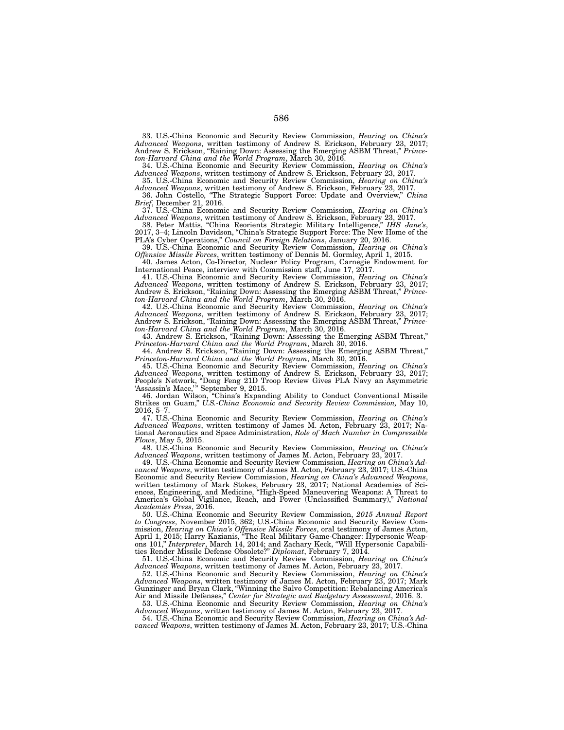33. U.S.-China Economic and Security Review Commission, *Hearing on China's Advanced Weapons*, written testimony of Andrew S. Erickson, February 23, 2017; Andrew S. Erickson, "Raining Down: Assessing the Emerging ASBM Threat," *Princeton-Harvard China and the World Program*, March 30, 2016.

34. U.S.-China Economic and Security Review Commission, *Hearing on China's Advanced Weapons*, written testimony of Andrew S. Erickson, February 23, 2017.

35. U.S.-China Economic and Security Review Commission, *Hearing on China's Advanced Weapons*, written testimony of Andrew S. Erickson, February 23, 2017. "The Strategic Support Force: Update and Overview," *China* 

*Brief*, December 21, 2016.

37. U.S.-China Economic and Security Review Commission, *Hearing on China's Advanced Weapons*, written testimony of Andrew S. Erickson, February 23, 2017.

38. Peter Mattis, "China Reorients Strategic Military Intelligence," *IHS Jane's*, 2017, 3–4; Lincoln Davidson, "China's Strategic Support Force: The New Home of the PLA's Cyber Operations," *Council on Foreign Relations*, January 20, 2016.

39. U.S.-China Economic and Security Review Commission, *Hearing on China's Offensive Missile Forces*, written testimony of Dennis M. Gormley, April 1, 2015.

40. James Acton, Co-Director, Nuclear Policy Program, Carnegie Endowment for International Peace, interview with Commission staff, June 17, 2017.

41. U.S.-China Economic and Security Review Commission, *Hearing on China's Advanced Weapons*, written testimony of Andrew S. Erickson, February 23, 2017; Andrew S. Erickson, "Raining Down: Assessing the Emerging ASBM Threat," *Princeton-Harvard China and the World Program*, March 30, 2016.

42. U.S.-China Economic and Security Review Commission, *Hearing on China's Advanced Weapons*, written testimony of Andrew S. Erickson, February 23, 2017; Andrew S. Erickson, "Raining Down: Assessing the Emerging ASBM Threat," *Princeton-Harvard China and the World Program*, March 30, 2016.

43. Andrew S. Erickson, "Raining Down: Assessing the Emerging ASBM Threat," *Princeton-Harvard China and the World Program*, March 30, 2016.

44. Andrew S. Erickson, "Raining Down: Assessing the Emerging ASBM Threat," *Princeton-Harvard China and the World Program*, March 30, 2016.

45. U.S.-China Economic and Security Review Commission, *Hearing on China's Advanced Weapons*, written testimony of Andrew S. Erickson, February 23, 2017; People's Network, "Dong Feng 21D Troop Review Gives PLA Navy an Asymmetric 'Assassin's Mace,'" September 9, 2015.

46. Jordan Wilson, "China's Expanding Ability to Conduct Conventional Missile Strikes on Guam," *U.S.-China Economic and Security Review Commission,* May 10, 2016, 5–7.

47. U.S.-China Economic and Security Review Commission, *Hearing on China's Advanced Weapons*, written testimony of James M. Acton, February 23, 2017; National Aeronautics and Space Administration, *Role of Mach Number in Compressible Flows*, May 5, 2015.

48. U.S.-China Economic and Security Review Commission, *Hearing on China's Advanced Weapons*, written testimony of James M. Acton, February 23, 2017.

49. U.S.-China Economic and Security Review Commission, *Hearing on China's Advanced Weapons*, written testimony of James M. Acton, February 23, 2017; U.S.-China Economic and Security Review Commission, *Hearing on China's Advanced Weapons*, written testimony of Mark Stokes, February 23, 2017; National Academies of Sciences, Engineering, and Medicine, "High-Speed Maneuvering Weapons: A Threat to America's Global Vigilance, Reach, and Power (Unclassified Summary)," *National Academies Press*, 2016.

50. U.S.-China Economic and Security Review Commission, *2015 Annual Report to Congress*, November 2015, 362; U.S.-China Economic and Security Review Commission, *Hearing on China's Offensive Missile Forces*, oral testimony of James Acton, April 1, 2015; Harry Kazianis, "The Real Military Game-Changer: Hypersonic Weapons 101," *Interpreter*, March 14, 2014; and Zachary Keck, "Will Hypersonic Capabilities Render Missile Defense Obsolete?" *Diplomat*, February 7, 2014.

51. U.S.-China Economic and Security Review Commission, *Hearing on China's Advanced Weapons*, written testimony of James M. Acton, February 23, 2017.

52. U.S.-China Economic and Security Review Commission, *Hearing on China's Advanced Weapons*, written testimony of James M. Acton, February 23, 2017; Mark Gunzinger and Bryan Clark, "Winning the Salvo Competition: Rebalancing America's Air and Missile Defenses," *Center for Strategic and Budgetary Assessment*, 2016. 3.

53. U.S.-China Economic and Security Review Commission, *Hearing on China's Advanced Weapons*, written testimony of James M. Acton, February 23, 2017.

54. U.S.-China Economic and Security Review Commission, *Hearing on China's Advanced Weapons*, written testimony of James M. Acton, February 23, 2017; U.S.-China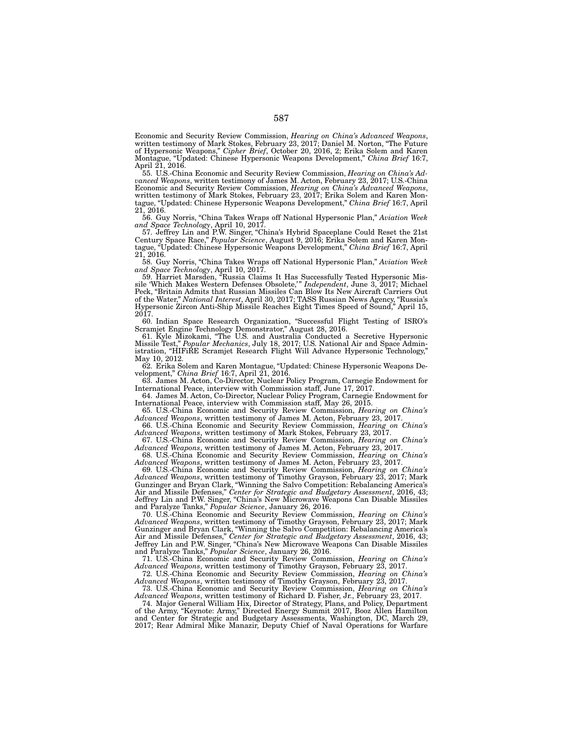Economic and Security Review Commission, *Hearing on China's Advanced Weapons*, written testimony of Mark Stokes, February 23, 2017; Daniel M. Norton, "The Future of Hypersonic Weapons," *Cipher Brief*, October 20, 2016, 2; Erika Solem and Karen Montague, "Updated: Chinese Hypersonic Weapons Development," *China Brief* 16:7, April 21, 2016.

55. U.S.-China Economic and Security Review Commission, *Hearing on China's Advanced Weapons*, written testimony of James M. Acton, February 23, 2017; U.S.-China Economic and Security Review Commission, *Hearing on China's Advanced Weapons*, written testimony of Mark Stokes, February 23, 2017; Erika Solem and Karen Montague, "Updated: Chinese Hypersonic Weapons Development," *China Brief* 16:7, April 21, 2016.

56. Guy Norris, "China Takes Wraps off National Hypersonic Plan," *Aviation Week and Space Technology*, April 10, 2017.

57. Jeffrey Lin and P.W. Singer, "China's Hybrid Spaceplane Could Reset the 21st Century Space Race," *Popular Science*, August 9, 2016; Erika Solem and Karen Montague, "Updated: Chinese Hypersonic Weapons Development," *China Brief* 16:7, April 21, 2016.

58. Guy Norris, "China Takes Wraps off National Hypersonic Plan," *Aviation Week and Space Technology*, April 10, 2017.

59. Harriet Marsden, "Russia Claims It Has Successfully Tested Hypersonic Missile 'Which Makes Western Defenses Obsolete,'" *Independent*, June 3, 2017; Michael Peck, "Britain Admits that Russian Missiles Can Blow Its New Aircraft Carriers Out of the Water," *National Interest*, April 30, 2017; TASS Russian News Agency, "Russia's Hypersonic Zircon Anti-Ship Missile Reaches Eight Times Speed of Sound," April 15, 2017.

60. Indian Space Research Organization, "Successful Flight Testing of ISRO's Scramjet Engine Technology Demonstrator," August 28, 2016.

61. Kyle Mizokami, "The U.S. and Australia Conducted a Secretive Hypersonic Missile Test," *Popular Mechanics*, July 18, 2017; U.S. National Air and Space Administration, "HIFiRE Scramjet Research Flight Will Advance Hypersonic Technology," May 10, 2012.

62. Erika Solem and Karen Montague, "Updated: Chinese Hypersonic Weapons Development," *China Brief* 16:7, April 21, 2016.

63. James M. Acton, Co-Director, Nuclear Policy Program, Carnegie Endowment for International Peace, interview with Commission staff, June 17, 2017.

64. James M. Acton, Co-Director, Nuclear Policy Program, Carnegie Endowment for International Peace, interview with Commission staff, May 26, 2015.

65. U.S.-China Economic and Security Review Commission, *Hearing on China's Advanced Weapons*, written testimony of James M. Acton, February 23, 2017.

66. U.S.-China Economic and Security Review Commission, *Hearing on China's Advanced Weapons*, written testimony of Mark Stokes, February 23, 2017.

67. U.S.-China Economic and Security Review Commission, *Hearing on China's Advanced Weapons*, written testimony of James M. Acton, February 23, 2017.

68. U.S.-China Economic and Security Review Commission, *Hearing on China's Advanced Weapons*, written testimony of James M. Acton, February 23, 2017.

69. U.S.-China Economic and Security Review Commission, *Hearing on China's Advanced Weapons*, written testimony of Timothy Grayson, February 23, 2017; Mark Gunzinger and Bryan Clark, "Winning the Salvo Competition: Rebalancing America's Air and Missile Defenses," *Center for Strategic and Budgetary Assessment*, 2016, 43; Jeffrey Lin and P.W. Singer, "China's New Microwave Weapons Can Disable Missiles and Paralyze Tanks," *Popular Science*, January 26, 2016.

70. U.S.-China Economic and Security Review Commission, *Hearing on China's Advanced Weapons*, written testimony of Timothy Grayson, February 23, 2017; Mark Gunzinger and Bryan Clark, "Winning the Salvo Competition: Rebalancing America's Air and Missile Defenses," *Center for Strategic and Budgetary Assessment*, 2016, 43; Jeffrey Lin and P.W. Singer, "China's New Microwave Weapons Can Disable Missiles and Paralyze Tanks," *Popular Science*, January 26, 2016.

71. U.S.-China Economic and Security Review Commission, *Hearing on China's Advanced Weapons*, written testimony of Timothy Grayson, February 23, 2017.

72. U.S.-China Economic and Security Review Commission, *Hearing on China's Advanced Weapons*, written testimony of Timothy Grayson, February 23, 2017.

73. U.S.-China Economic and Security Review Commission, *Hearing on China's Advanced Weapons*, written testimony of Richard D. Fisher, Jr., February 23, 2017.

74. Major General William Hix, Director of Strategy, Plans, and Policy, Department of the Army, "Keynote: Army," Directed Energy Summit 2017, Booz Allen Hamilton and Center for Strategic and Budgetary Assessments, Washington, DC, March 29, 2017; Rear Admiral Mike Manazir, Deputy Chief of Naval Operations for Warfare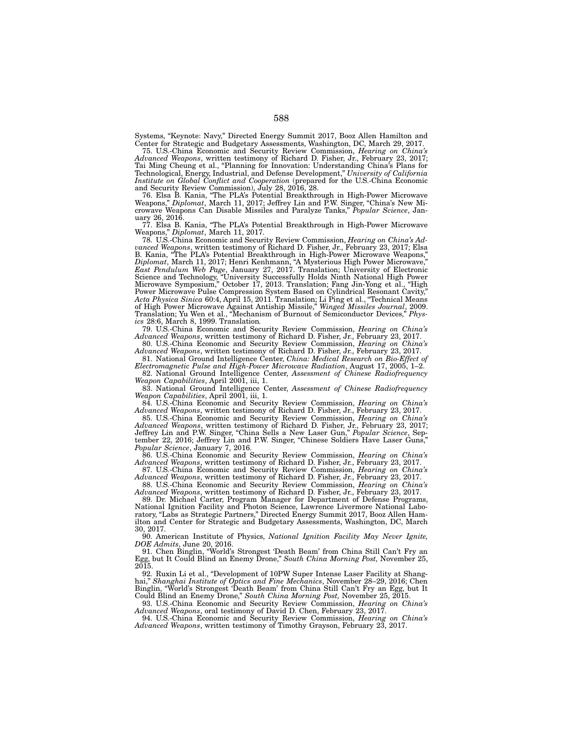Systems, "Keynote: Navy," Directed Energy Summit 2017, Booz Allen Hamilton and Center for Strategic and Budgetary Assessments, Washington, DC, March 29, 2017.

75. U.S.-China Economic and Security Review Commission, *Hearing on China's Advanced Weapons*, written testimony of Richard D. Fisher, Jr., February 23, 2017; Tai Ming Cheung et al., "Planning for Innovation: Understanding China's Plans for Technological, Energy, Industrial, and Defense Development," *University of California Institute on Global Conflict and Cooperation* (prepared for the U.S.-China Economic and Security Review Commission), July 28, 2016, 28.

76. Elsa B. Kania, "The PLA's Potential Breakthrough in High-Power Microwave Weapons," *Diplomat*, March 11, 2017; Jeffrey Lin and P.W. Singer, "China's New Microwave Weapons Can Disable Missiles and Paralyze Tanks," *Popular Science*, January 26, 2016.

77. Elsa B. Kania, "The PLA's Potential Breakthrough in High-Power Microwave Weapons," *Diplomat*, March 11, 2017.

78. U.S.-China Economic and Security Review Commission, *Hearing on China's Advanced Weapons*, written testimony of Richard D. Fisher, Jr., February 23, 2017; Elsa B. Kania, "The PLA's Potential Breakthrough in High-Power Microwave Weapons," *Diplomat*, March 11, 2017; Henri Kenhmann, "A Mysterious High Power Microwave," *East Pendulum Web Page*, January 27, 2017. Translation; University of Electronic Science and Technology, "University Successfully Holds Ninth National High Power Science and Technology, "University Successfully Holds Ninth National High Power<br>Microwave Symposium," October 17, 2013. Translation; Fang Jin-Yong et al., "High Power Microwave Pulse Compression System Based on Cylindrical Resonant Cavity," *Acta Physica Sinica* 60:4, April 15, 2011. Translation; Li Ping et al., "Technical Means of High Power Microwave Against Antiship Missile," *Winged Missiles Journal*, 2009. Translation; Yu Wen et al., "Mechanism of Burnout of Semiconductor Devices," *Physics* 28:6, March 8, 1999. Translation*.*

79. U.S.-China Economic and Security Review Commission, *Hearing on China's Advanced Weapons*, written testimony of Richard D. Fisher, Jr., February 23, 2017.

80. U.S.-China Economic and Security Review Commission, *Hearing on China's Advanced Weapons*, written testimony of Richard D. Fisher, Jr., February 23, 2017.

81. National Ground Intelligence Center, *China: Medical Research on Bio-Effect of Electromagnetic Pulse and High-Power Microwave Radiation*, August 17, 2005, 1–2.

82. National Ground Intelligence Center, *Assessment of Chinese Radiofrequency Weapon Capabilities*, April 2001, iii, 1.

83. National Ground Intelligence Center, *Assessment of Chinese Radiofrequency Weapon Capabilities*, April 2001, iii, 1.

84. U.S.-China Economic and Security Review Commission, *Hearing on China's Advanced Weapons*, written testimony of Richard D. Fisher, Jr., February 23, 2017.

85. U.S.-China Economic and Security Review Commission, *Hearing on China's Advanced Weapons*, written testimony of Richard D. Fisher, Jr., February 23, 2017; Jeffrey Lin and P.W. Singer, "China Sells a New Laser Gun," *Popular Science*, September 22, 2016; Jeffrey Lin and P.W. Singer, "Chinese Soldiers Have Laser Guns," *Popular Science*, January 7, 2016.

86. U.S.-China Economic and Security Review Commission, *Hearing on China's Advanced Weapons*, written testimony of Richard D. Fisher, Jr., February 23, 2017. 87. U.S.-China Economic and Security Review Commission, *Hearing on China's* 

*Advanced Weapons*, written testimony of Richard D. Fisher, Jr., February 23, 2017. 88. U.S.-China Economic and Security Review Commission, *Hearing on China's* 

*Advanced Weapons*, written testimony of Richard D. Fisher, Jr., February 23, 2017.

89. Dr. Michael Carter, Program Manager for Department of Defense Programs, National Ignition Facility and Photon Science, Lawrence Livermore National Laboratory, "Labs as Strategic Partners," Directed Energy Summit 2017, Booz Allen Hamilton and Center for Strategic and Budgetary Assessments, Washington, DC, March 30, 2017.

90. American Institute of Physics, *National Ignition Facility May Never Ignite, DOE Admits*, June 20, 2016.

91. Chen Binglin, "World's Strongest 'Death Beam' from China Still Can't Fry an Egg, but It Could Blind an Enemy Drone," *South China Morning Post,* November 25,  $20\overline{15}$ .

92. Ruxin Li et al., "Development of 10PW Super Intense Laser Facility at Shanghai," *Shanghai Institute of Optics and Fine Mechanics*, November 28–29, 2016; Chen Binglin, "World's Strongest 'Death Beam' from China Still Can't Fry an Egg, but It Could Blind an Enemy Drone," *South China Morning Post,* November 25, 2015.

93. U.S.-China Economic and Security Review Commission, *Hearing on China's Advanced Weapons*, oral testimony of David D. Chen, February 23, 2017.

94. U.S.-China Economic and Security Review Commission, *Hearing on China's Advanced Weapons*, written testimony of Timothy Grayson, February 23, 2017.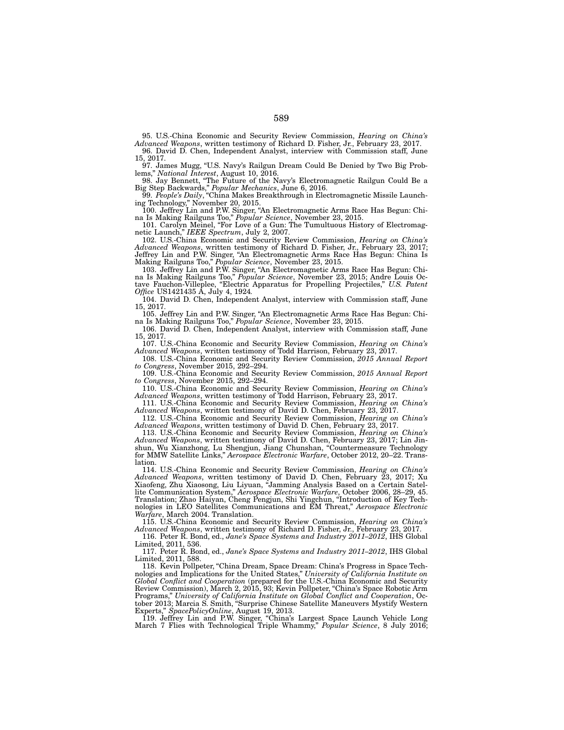95. U.S.-China Economic and Security Review Commission, *Hearing on China's Advanced Weapons*, written testimony of Richard D. Fisher, Jr., February 23, 2017.

96. David D. Chen, Independent Analyst, interview with Commission staff, June 15, 2017.

97. James Mugg, "U.S. Navy's Railgun Dream Could Be Denied by Two Big Problems," *National Interest*, August 10, 2016.

98. Jay Bennett, "The Future of the Navy's Electromagnetic Railgun Could Be a Big Step Backwards," *Popular Mechanics*, June 6, 2016.

99. *People's Daily*, "China Makes Breakthrough in Electromagnetic Missile Launching Technology," November 20, 2015.

100. Jeffrey Lin and P.W. Singer, "An Electromagnetic Arms Race Has Begun: China Is Making Railguns Too," *Popular Science*, November 23, 2015.

101. Carolyn Meinel, "For Love of a Gun: The Tumultuous History of Electromagnetic Launch," *IEEE Spectrum*, July 2, 2007.

102. U.S.-China Economic and Security Review Commission, *Hearing on China's Advanced Weapons*, written testimony of Richard D. Fisher, Jr., February 23, 2017; Jeffrey Lin and P.W. Singer, "An Electromagnetic Arms Race Has Begun: China Is Making Railguns Too," *Popular Science*, November 23, 2015.

103. Jeffrey Lin and P.W. Singer, "An Electromagnetic Arms Race Has Begun: China Is Making Railguns Too," *Popular Science*, November 23, 2015; Andre Louis Octave Fauchon-Villeplee, "Electric Apparatus for Propelling Projectiles," *U.S. Patent Office* US1421435 A, July 4, 1924*.*

104. David D. Chen, Independent Analyst, interview with Commission staff, June 15, 2017.

105. Jeffrey Lin and P.W. Singer, "An Electromagnetic Arms Race Has Begun: China Is Making Railguns Too," *Popular Science*, November 23, 2015.

106. David D. Chen, Independent Analyst, interview with Commission staff, June 15, 2017.

107. U.S.-China Economic and Security Review Commission, *Hearing on China's Advanced Weapons*, written testimony of Todd Harrison, February 23, 2017.

108. U.S.-China Economic and Security Review Commission, *2015 Annual Report to Congress*, November 2015, 292–294.

109. U.S.-China Economic and Security Review Commission, *2015 Annual Report to Congress*, November 2015, 292–294.

110. U.S.-China Economic and Security Review Commission, *Hearing on China's Advanced Weapons*, written testimony of Todd Harrison, February 23, 2017.

111. U.S.-China Economic and Security Review Commission, *Hearing on China's Advanced Weapons*, written testimony of David D. Chen, February 23, 2017.

112. U.S.-China Economic and Security Review Commission, *Hearing on China's Advanced Weapons*, written testimony of David D. Chen, February 23, 2017.

113. U.S.-China Economic and Security Review Commission, *Hearing on China's Advanced Weapons*, written testimony of David D. Chen, February 23, 2017; Lin Jinshun, Wu Xianzhong, Lu Shengjun, Jiang Chunshan, "Countermeasure Technology for MMW Satellite Links," *Aerospace Electronic Warfare*, October 2012, 20–22. Translation.

114. U.S.-China Economic and Security Review Commission, *Hearing on China's Advanced Weapons*, written testimony of David D. Chen, February 23, 2017; Xu Xiaofeng, Zhu Xiaosong, Liu Liyuan, "Jamming Analysis Based on a Certain Satellite Communication System," *Aerospace Electronic Warfare*, October 2006, 28–29, 45. Translation; Zhao Haiyan, Cheng Pengjun, Shi Yingchun, "Introduction of Key Technologies in LEO Satellites Communications and EM Threat," *Aerospace Electronic Warfare*, March 2004. Translation.

115. U.S.-China Economic and Security Review Commission, *Hearing on China's Advanced Weapons*, written testimony of Richard D. Fisher, Jr., February 23, 2017.

116. Peter R. Bond, ed., *Jane's Space Systems and Industry 2011–2012*, IHS Global Limited, 2011, 536.

117. Peter R. Bond, ed., *Jane's Space Systems and Industry 2011–2012*, IHS Global Limited, 2011, 588.

118. Kevin Pollpeter, "China Dream, Space Dream: China's Progress in Space Technologies and Implications for the United States," *University of California Institute on Global Conflict and Cooperation* (prepared for the U.S.-China Economic and Security Review Commission), March 2, 2015, 93; Kevin Pollpeter, "China's Space Robotic Arm Programs," *University of California Institute on Global Conflict and Cooperation*, October 2013; Marcia S. Smith, "Surprise Chinese Satellite Maneuvers Mystify Western Experts," *SpacePolicyOnline*, August 19, 2013.

119. Jeffrey Lin and P.W. Singer, "China's Largest Space Launch Vehicle Long March 7 Flies with Technological Triple Whammy," *Popular Science*, 8 July 2016;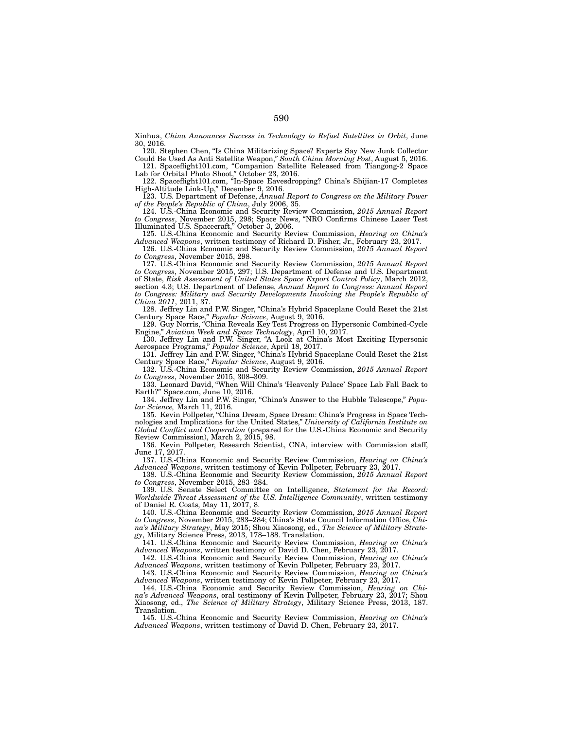Xinhua, *China Announces Success in Technology to Refuel Satellites in Orbit*, June 30, 2016.

120. Stephen Chen, "Is China Militarizing Space? Experts Say New Junk Collector Could Be Used As Anti Satellite Weapon," *South China Morning Post*, August 5, 2016.

121. Spaceflight101.com, "Companion Satellite Released from Tiangong-2 Space Lab for Orbital Photo Shoot," October 23, 2016.

122. Spaceflight101.com, "In-Space Eavesdropping? China's Shijian-17 Completes High-Altitude Link-Up," December 9, 2016.

123. U.S. Department of Defense, *Annual Report to Congress on the Military Power of the People's Republic of China*, July 2006, 35.

124. U.S.-China Economic and Security Review Commission, *2015 Annual Report to Congress*, November 2015, 298; Space News, "NRO Confirms Chinese Laser Test Illuminated U.S. Spacecraft," October 3, 2006.

125. U.S.-China Economic and Security Review Commission, *Hearing on China's Advanced Weapons*, written testimony of Richard D. Fisher, Jr., February 23, 2017.

126. U.S.-China Economic and Security Review Commission, *2015 Annual Report to Congress*, November 2015, 298.

127. U.S.-China Economic and Security Review Commission, *2015 Annual Report to Congress*, November 2015, 297; U.S. Department of Defense and U.S. Department of State, *Risk Assessment of United States Space Export Control Policy*, March 2012, section 4.3; U.S. Department of Defense, *Annual Report to Congress: Annual Report*  to Congress: Military and Security Developments Involving the People's Republic of *China 2011*, 2011, 37.

128. Jeffrey Lin and P.W. Singer, "China's Hybrid Spaceplane Could Reset the 21st Century Space Race," *Popular Science*, August 9, 2016.

129. Guy Norris, "China Reveals Key Test Progress on Hypersonic Combined-Cycle Engine," *Aviation Week and Space Technology*, April 10, 2017.

130. Jeffrey Lin and P.W. Singer, "A Look at China's Most Exciting Hypersonic Aerospace Programs," *Popular Science*, April 18, 2017.

131. Jeffrey Lin and P.W. Singer, "China's Hybrid Spaceplane Could Reset the 21st Century Space Race," *Popular Science*, August 9, 2016.

132. U.S.-China Economic and Security Review Commission, *2015 Annual Report to Congress*, November 2015, 308–309.

133. Leonard David, "When Will China's 'Heavenly Palace' Space Lab Fall Back to Earth?" Space.com, June 10, 2016.

134. Jeffrey Lin and P.W. Singer, "China's Answer to the Hubble Telescope," *Popular Science,* March 11, 2016.

135. Kevin Pollpeter, "China Dream, Space Dream: China's Progress in Space Technologies and Implications for the United States," *University of California Institute on Global Conflict and Cooperation* (prepared for the U.S.-China Economic and Security

Review Commission), March 2, 2015, 98. 136. Kevin Pollpeter, Research Scientist, CNA, interview with Commission staff, June 17, 2017.

137. U.S.-China Economic and Security Review Commission, *Hearing on China's Advanced Weapons*, written testimony of Kevin Pollpeter, February 23, 2017.

138. U.S.-China Economic and Security Review Commission, *2015 Annual Report to Congress*, November 2015, 283–284.

139. U.S. Senate Select Committee on Intelligence, *Statement for the Record: Worldwide Threat Assessment of the U.S. Intelligence Community*, written testimony of Daniel R. Coats, May 11, 2017, 8.

140. U.S.-China Economic and Security Review Commission, *2015 Annual Report to Congress*, November 2015, 283–284; China's State Council Information Office, *China's Military Strategy*, May 2015; Shou Xiaosong, ed., *The Science of Military Strategy*, Military Science Press, 2013, 178–188. Translation.

141. U.S.-China Economic and Security Review Commission, *Hearing on China's Advanced Weapons*, written testimony of David D. Chen, February 23, 2017.

142. U.S.-China Economic and Security Review Commission, *Hearing on China's Advanced Weapons*, written testimony of Kevin Pollpeter, February 23, 2017.

143. U.S.-China Economic and Security Review Commission, *Hearing on China's Advanced Weapons*, written testimony of Kevin Pollpeter, February 23, 2017.

144. U.S.-China Economic and Security Review Commission, *Hearing on China's Advanced Weapons*, oral testimony of Kevin Pollpeter, February 23, 2017; Shou Xiaosong, ed., *The Science of Military Strategy*, Military Science Press, 2013, 187. Translation.

145. U.S.-China Economic and Security Review Commission, *Hearing on China's Advanced Weapons*, written testimony of David D. Chen, February 23, 2017.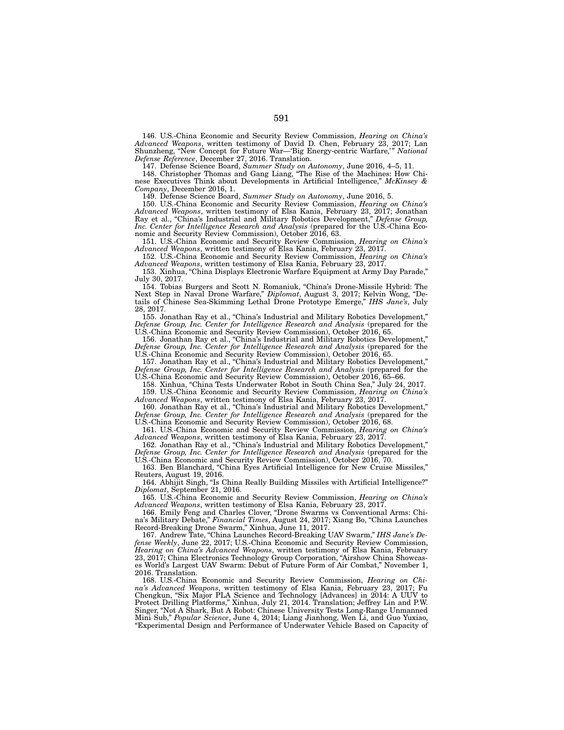146. U.S.-China Economic and Security Review Commission, *Hearing on China's Advanced Weapons*, written testimony of David D. Chen, February 23, 2017; Lan Shunzheng, "New Concept for Future War—'Big Energy-centric Warfare,'" *National Defense Reference*, December 27, 2016. Translation.

147. Defense Science Board, *Summer Study on Autonomy*, June 2016, 4–5, 11.

148. Christopher Thomas and Gang Liang, "The Rise of the Machines: How Chinese Executives Think about Developments in Artificial Intelligence," *McKinsey & Company*, December 2016, 1.

149. Defense Science Board, *Summer Study on Autonomy*, June 2016, 5.

150. U.S.-China Economic and Security Review Commission, *Hearing on China's Advanced Weapons*, written testimony of Elsa Kania, February 23, 2017; Jonathan Ray et al., "China's Industrial and Military Robotics Development," *Defense Group, Inc. Center for Intelligence Research and Analysis* (prepared for the U.S.-China Economic and Security Review Commission), October 2016, 63.

151. U.S.-China Economic and Security Review Commission, *Hearing on China's Advanced Weapons*, written testimony of Elsa Kania, February 23, 2017.

152. U.S.-China Economic and Security Review Commission, *Hearing on China's Advanced Weapons*, written testimony of Elsa Kania, February 23, 2017.

153. Xinhua, "China Displays Electronic Warfare Equipment at Army Day Parade," July 30, 2017.

154. Tobias Burgers and Scott N. Romaniuk, "China's Drone-Missile Hybrid: The Next Step in Naval Drone Warfare," *Diplomat*, August 3, 2017; Kelvin Wong, "Details of Chinese Sea-Skimming Lethal Drone Prototype Emerge," *IHS Jane's*, July 28, 2017.

155. Jonathan Ray et al., "China's Industrial and Military Robotics Development," *Defense Group, Inc. Center for Intelligence Research and Analysis* (prepared for the U.S.-China Economic and Security Review Commission), October 2016, 65.

156. Jonathan Ray et al., "China's Industrial and Military Robotics Development," *Defense Group, Inc. Center for Intelligence Research and Analysis* (prepared for the U.S.-China Economic and Security Review Commission), October 2016, 65.

157. Jonathan Ray et al., "China's Industrial and Military Robotics Development," *Defense Group, Inc. Center for Intelligence Research and Analysis* (prepared for the U.S.-China Economic and Security Review Commission), October 2016, 65–66.

158. Xinhua, "China Tests Underwater Robot in South China Sea," July 24, 2017. 159. U.S.-China Economic and Security Review Commission, *Hearing on China's* 

*Advanced Weapons*, written testimony of Elsa Kania, February 23, 2017. 160. Jonathan Ray et al., "China's Industrial and Military Robotics Development," *Defense Group, Inc. Center for Intelligence Research and Analysis* (prepared for the

U.S.-China Economic and Security Review Commission), October 2016, 68. 161. U.S.-China Economic and Security Review Commission, *Hearing on China's Advanced Weapons*, written testimony of Elsa Kania, February 23, 2017.

162. Jonathan Ray et al., "China's Industrial and Military Robotics Development," *Defense Group, Inc. Center for Intelligence Research and Analysis* (prepared for the U.S.-China Economic and Security Review Commission), October 2016, 70.

163. Ben Blanchard, "China Eyes Artificial Intelligence for New Cruise Missiles," Reuters, August 19, 2016.

164. Abhijit Singh, "Is China Really Building Missiles with Artificial Intelligence?" *Diplomat*, September 21, 2016.

165. U.S.-China Economic and Security Review Commission, *Hearing on China's Advanced Weapons*, written testimony of Elsa Kania, February 23, 2017.

166. Emily Feng and Charles Clover, "Drone Swarms vs Conventional Arms: China's Military Debate," *Financial Times*, August 24, 2017; Xiang Bo, "China Launches Record-Breaking Drone Swarm," Xinhua, June 11, 2017.

167. Andrew Tate, "China Launches Record-Breaking UAV Swarm," *IHS Jane's Defense Weekly*, June 22, 2017; U.S.-China Economic and Security Review Commission, *Hearing on China's Advanced Weapons*, written testimony of Elsa Kania, February 23, 2017; China Electronics Technology Group Corporation, "Airshow China Showcases World's Largest UAV Swarm: Debut of Future Form of Air Combat," November 1, 2016. Translation.

168. U.S.-China Economic and Security Review Commission, *Hearing on China's Advanced Weapons*, written testimony of Elsa Kania, February 23, 2017; Fu Chengkun, "Six Major PLA Science and Technology [Advances] in 2014: A UUV to Protect Drilling Platforms," Xinhua, July 21, 2014. Translation; Jeffrey Lin and P.W. Singer, "Not A Shark, But A Robot: Chinese University Tests Long-Range Unmanned Mini Sub," *Popular Science*, June 4, 2014; Liang Jianhong, Wen Li, and Guo Yuxiao, "Experimental Design and Performance of Underwater Vehicle Based on Capacity of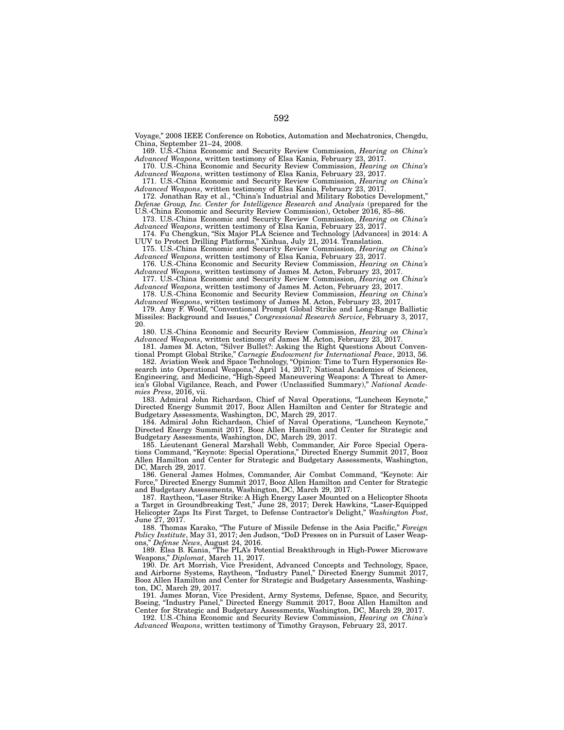Voyage," 2008 IEEE Conference on Robotics, Automation and Mechatronics, Chengdu, China, September 21–24, 2008.

169. U.S.-China Economic and Security Review Commission, *Hearing on China's*  Advanced Weapons, written testimony of Elsa Kania, February 23, 2017.

170. U.S.-China Economic and Security Review Commission, *Hearing on China's Advanced Weapons*, written testimony of Elsa Kania, February 23, 2017.

171. U.S.-China Economic and Security Review Commission, *Hearing on China's Advanced Weapons*, written testimony of Elsa Kania, February 23, 2017.

172. Jonathan Ray et al., "China's Industrial and Military Robotics Development," *Defense Group, Inc. Center for Intelligence Research and Analysis* (prepared for the U.S.-China Economic and Security Review Commission), October 2016, 85–86.

173. U.S.-China Economic and Security Review Commission, *Hearing on China's*  Advanced Weapons, written testimony of Elsa Kania, February 23, 2017.

174. Fu Chengkun, "Six Major PLA Science and Technology [Advances] in 2014: A UUV to Protect Drilling Platforms," Xinhua, July 21, 2014. Translation.

175. U.S.-China Economic and Security Review Commission, *Hearing on China's Advanced Weapons*, written testimony of Elsa Kania, February 23, 2017.

176. U.S.-China Economic and Security Review Commission, *Hearing on China's Advanced Weapons*, written testimony of James M. Acton, February 23, 2017.

177. U.S.-China Economic and Security Review Commission, *Hearing on China's Advanced Weapons*, written testimony of James M. Acton, February 23, 2017.

178. U.S.-China Economic and Security Review Commission, *Hearing on China's Advanced Weapons*, written testimony of James M. Acton, February 23, 2017.

179. Amy F. Woolf, "Conventional Prompt Global Strike and Long-Range Ballistic Missiles: Background and Issues," *Congressional Research Service*, February 3, 2017, 20.

180. U.S.-China Economic and Security Review Commission, *Hearing on China's Advanced Weapons*, written testimony of James M. Acton, February 23, 2017.

181. James M. Acton, "Silver Bullet?: Asking the Right Questions About Conventional Prompt Global Strike," *Carnegie Endowment for International Peace*, 2013, 56.

182. Aviation Week and Space Technology, "Opinion: Time to Turn Hypersonics Research into Operational Weapons," April 14, 2017; National Academies of Sciences, Engineering, and Medicine, "High-Speed Maneuvering Weapons: A Threat to America's Global Vigilance, Reach, and Power (Unclassified Summary)," *National Academies Press*, 2016, vii.

183. Admiral John Richardson, Chief of Naval Operations, "Luncheon Keynote," Directed Energy Summit 2017, Booz Allen Hamilton and Center for Strategic and Budgetary Assessments, Washington, DC, March 29, 2017.

184. Admiral John Richardson, Chief of Naval Operations, "Luncheon Keynote," Directed Energy Summit 2017, Booz Allen Hamilton and Center for Strategic and Budgetary Assessments, Washington, DC, March 29, 2017.

185. Lieutenant General Marshall Webb, Commander, Air Force Special Operations Command, "Keynote: Special Operations," Directed Energy Summit 2017, Booz Allen Hamilton and Center for Strategic and Budgetary Assessments, Washington, DC, March 29, 2017.

186. General James Holmes, Commander, Air Combat Command, "Keynote: Air Force," Directed Energy Summit 2017, Booz Allen Hamilton and Center for Strategic and Budgetary Assessments, Washington, DC, March 29, 2017.

187. Raytheon, "Laser Strike: A High Energy Laser Mounted on a Helicopter Shoots a Target in Groundbreaking Test," June 28, 2017; Derek Hawkins, "Laser-Equipped Helicopter Zaps Its First Target, to Defense Contractor's Delight," *Washington Post*, June 27, 2017.

188. Thomas Karako, "The Future of Missile Defense in the Asia Pacific," *Foreign Policy Institute*, May 31, 2017; Jen Judson, "DoD Presses on in Pursuit of Laser Weapons," *Defense News*, August 24, 2016.

189. Elsa B. Kania, "The PLA's Potential Breakthrough in High-Power Microwave Weapons," *Diplomat*, March 11, 2017.

190. Dr. Art Morrish, Vice President, Advanced Concepts and Technology, Space, and Airborne Systems, Raytheon, "Industry Panel," Directed Energy Summit 2017, Booz Allen Hamilton and Center for Strategic and Budgetary Assessments, Washington, DC, March 29, 2017.

191. James Moran, Vice President, Army Systems, Defense, Space, and Security, Boeing, "Industry Panel," Directed Energy Summit 2017, Booz Allen Hamilton and Center for Strategic and Budgetary Assessments, Washington, DC, March 29, 2017.

192. U.S.-China Economic and Security Review Commission, *Hearing on China's Advanced Weapons*, written testimony of Timothy Grayson, February 23, 2017.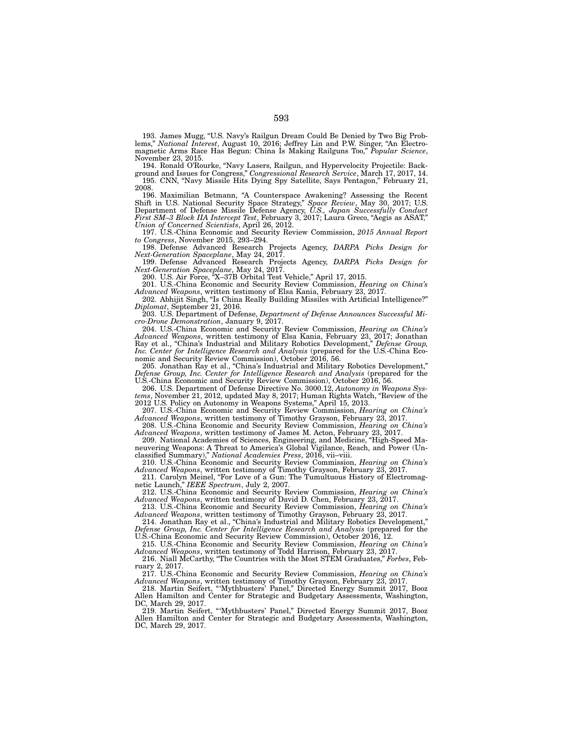193. James Mugg, "U.S. Navy's Railgun Dream Could Be Denied by Two Big Problems," *National Interest*, August 10, 2016; Jeffrey Lin and P.W. Singer, "An Electromagnetic Arms Race Has Begun: China Is Making Railguns Too," *Popular Science*, November 23, 2015.

194. Ronald O'Rourke, "Navy Lasers, Railgun, and Hypervelocity Projectile: Background and Issues for Congress," *Congressional Research Service*, March 17, 2017, 14. 195. CNN, "Navy Missile Hits Dying Spy Satellite, Says Pentagon," February 21, 2008.

196. Maximilian Betmann, "A Counterspace Awakening? Assessing the Recent Shift in U.S. National Security Space Strategy," *Space Review*, May 30, 2017; U.S. Department of Defense Missile Defense Agency, *U.S., Japan Successfully Conduct First SM–3 Block IIA Intercept Test*, February 3, 2017; Laura Greco, "Aegis as ASAT," *Union of Concerned Scientists*, April 26, 2012.

197. U.S.-China Economic and Security Review Commission, *2015 Annual Report to Congress*, November 2015, 293–294.

198. Defense Advanced Research Projects Agency, *DARPA Picks Design for Next-Generation Spaceplane*, May 24, 2017.

199. Defense Advanced Research Projects Agency, *DARPA Picks Design for Next-Generation Spaceplane*, May 24, 2017.

200. U.S. Air Force, "X–37B Orbital Test Vehicle," April 17, 2015.

201. U.S.-China Economic and Security Review Commission, *Hearing on China's Advanced Weapons*, written testimony of Elsa Kania, February 23, 2017.

202. Abhijit Singh, "Is China Really Building Missiles with Artificial Intelligence?" *Diplomat*, September 21, 2016.

203. U.S. Department of Defense, *Department of Defense Announces Successful Micro-Drone Demonstration*, January 9, 2017.

204. U.S.-China Economic and Security Review Commission, *Hearing on China's Advanced Weapons*, written testimony of Elsa Kania, February 23, 2017; Jonathan Ray et al., "China's Industrial and Military Robotics Development," *Defense Group, Inc. Center for Intelligence Research and Analysis* (prepared for the U.S.-China Economic and Security Review Commission), October 2016, 56.

205. Jonathan Ray et al., "China's Industrial and Military Robotics Development," *Defense Group, Inc. Center for Intelligence Research and Analysis* (prepared for the U.S.-China Economic and Security Review Commission), October 2016, 56.

206. U.S. Department of Defense Directive No. 3000.12, *Autonomy in Weapons Systems*, November 21, 2012, updated May 8, 2017; Human Rights Watch, "Review of the 2012 U.S. Policy on Autonomy in Weapons Systems," April 15, 2013.

207. U.S.-China Economic and Security Review Commission, *Hearing on China's Advanced Weapons*, written testimony of Timothy Grayson, February 23, 2017.

208. U.S.-China Economic and Security Review Commission, *Hearing on China's Advanced Weapons*, written testimony of James M. Acton, February 23, 2017.

209. National Academies of Sciences, Engineering, and Medicine, "High-Speed Maneuvering Weapons: A Threat to America's Global Vigilance, Reach, and Power (Unclassified Summary)," *National Academies Press*, 2016, vii–viii.

210. U.S.-China Economic and Security Review Commission, *Hearing on China's Advanced Weapons*, written testimony of Timothy Grayson, February 23, 2017.

211. Carolyn Meinel, "For Love of a Gun: The Tumultuous History of Electromagnetic Launch," *IEEE Spectrum*, July 2, 2007.

212. U.S.-China Economic and Security Review Commission, *Hearing on China's Advanced Weapons*, written testimony of David D. Chen, February 23, 2017.

213. U.S.-China Economic and Security Review Commission, *Hearing on China's Advanced Weapons*, written testimony of Timothy Grayson, February 23, 2017.

214. Jonathan Ray et al., "China's Industrial and Military Robotics Development," *Defense Group, Inc. Center for Intelligence Research and Analysis* (prepared for the U.S.-China Economic and Security Review Commission), October 2016, 12.

215. U.S.-China Economic and Security Review Commission, *Hearing on China's Advanced Weapons*, written testimony of Todd Harrison, February 23, 2017.

216. Niall McCarthy, "The Countries with the Most STEM Graduates," *Forbes*, February 2, 2017.

217. U.S.-China Economic and Security Review Commission, *Hearing on China's Advanced Weapons*, written testimony of Timothy Grayson, February 23, 2017.

218. Martin Seifert, "'Mythbusters' Panel," Directed Energy Summit 2017, Booz Allen Hamilton and Center for Strategic and Budgetary Assessments, Washington, DC, March 29, 2017.

219. Martin Seifert, "'Mythbusters' Panel," Directed Energy Summit 2017, Booz Allen Hamilton and Center for Strategic and Budgetary Assessments, Washington, DC, March 29, 2017.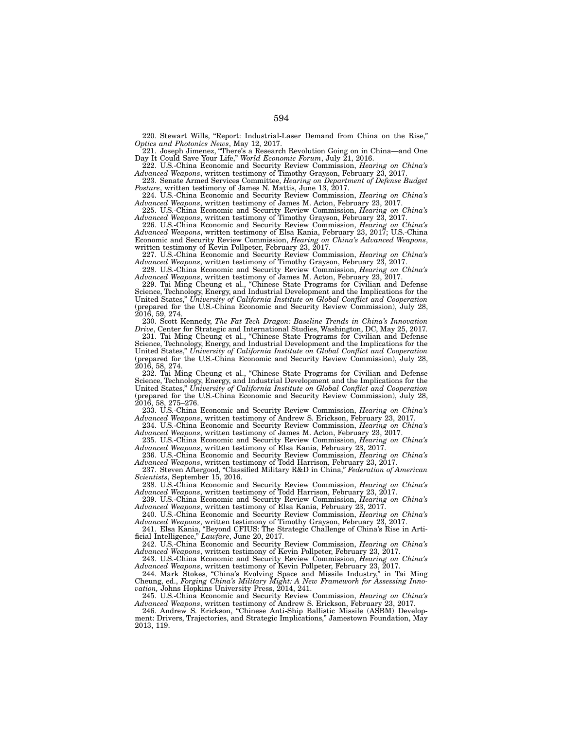220. Stewart Wills, "Report: Industrial-Laser Demand from China on the Rise," *Optics and Photonics News*, May 12, 2017.

221. Joseph Jimenez, "There's a Research Revolution Going on in China—and One Day It Could Save Your Life," *World Economic Forum*, July 21, 2016.

222. U.S.-China Economic and Security Review Commission, *Hearing on China's Advanced Weapons*, written testimony of Timothy Grayson, February 23, 2017.

223. Senate Armed Services Committee, *Hearing on Department of Defense Budget Posture*, written testimony of James N. Mattis, June 13, 2017.

224. U.S.-China Economic and Security Review Commission, *Hearing on China's Advanced Weapons*, written testimony of James M. Acton, February 23, 2017.

225. U.S.-China Economic and Security Review Commission, *Hearing on China's Advanced Weapons*, written testimony of Timothy Grayson, February 23, 2017.

226. U.S.-China Economic and Security Review Commission, *Hearing on China's Advanced Weapons*, written testimony of Elsa Kania, February 23, 2017; U.S.-China Economic and Security Review Commission, *Hearing on China's Advanced Weapons*, written testimony of Kevin Pollpeter, February 23, 2017.

227. U.S.-China Economic and Security Review Commission, *Hearing on China's Advanced Weapons*, written testimony of Timothy Grayson, February 23, 2017.

228. U.S.-China Economic and Security Review Commission, *Hearing on China's Advanced Weapons*, written testimony of James M. Acton, February 23, 2017.

229. Tai Ming Cheung et al., "Chinese State Programs for Civilian and Defense Science, Technology, Energy, and Industrial Development and the Implications for the United States," *University of California Institute on Global Conflict and Cooperation* (prepared for the U.S.-China Economic and Security Review Commission), July 28, 2016, 59, 274.

230. Scott Kennedy, *The Fat Tech Dragon: Baseline Trends in China's Innovation Drive*, Center for Strategic and International Studies, Washington, DC, May 25, 2017*.*

231. Tai Ming Cheung et al., "Chinese State Programs for Civilian and Defense Science, Technology, Energy, and Industrial Development and the Implications for the United States," *University of California Institute on Global Conflict and Cooperation*  (prepared for the U.S.-China Economic and Security Review Commission), July 28, 2016, 58, 274.

232. Tai Ming Cheung et al., "Chinese State Programs for Civilian and Defense Science, Technology, Energy, and Industrial Development and the Implications for the United States," *University of California Institute on Global Conflict and Cooperation* (prepared for the U.S.-China Economic and Security Review Commission), July 28, 2016, 58, 275–276.

233. U.S.-China Economic and Security Review Commission, *Hearing on China's Advanced Weapons*, written testimony of Andrew S. Erickson, February 23, 2017.

234. U.S.-China Economic and Security Review Commission, *Hearing on China's Advanced Weapons*, written testimony of James M. Acton, February 23, 2017.

235. U.S.-China Economic and Security Review Commission, *Hearing on China's*  Advanced Weapons, written testimony of Elsa Kania, February 23, 2017.

236. U.S.-China Economic and Security Review Commission, *Hearing on China's Advanced Weapons*, written testimony of Todd Harrison, February 23, 2017.

237. Steven Aftergood, "Classified Military R&D in China," *Federation of American Scientists*, September 15, 2016.

238. U.S.-China Economic and Security Review Commission, *Hearing on China's Advanced Weapons*, written testimony of Todd Harrison, February 23, 2017.

239. U.S.-China Economic and Security Review Commission, *Hearing on China's Advanced Weapons*, written testimony of Elsa Kania, February 23, 2017.

240. U.S.-China Economic and Security Review Commission, *Hearing on China's Advanced Weapons*, written testimony of Timothy Grayson, February 23, 2017.

241. Elsa Kania, "Beyond CFIUS: The Strategic Challenge of China's Rise in Artificial Intelligence," *Lawfare*, June 20, 2017.

242. U.S.-China Economic and Security Review Commission, *Hearing on China's Advanced Weapons*, written testimony of Kevin Pollpeter, February 23, 2017.

243. U.S.-China Economic and Security Review Commission, *Hearing on China's Advanced Weapons*, written testimony of Kevin Pollpeter, February 23, 2017.

244. Mark Stokes, "China's Evolving Space and Missile Industry," in Tai Ming Cheung, ed., *Forging China's Military Might: A New Framework for Assessing Innovation,* Johns Hopkins University Press, 2014, 241.

245. U.S.-China Economic and Security Review Commission, *Hearing on China's Advanced Weapons*, written testimony of Andrew S. Erickson, February 23, 2017.

246. Andrew S. Erickson, "Chinese Anti-Ship Ballistic Missile (ASBM) Development: Drivers, Trajectories, and Strategic Implications," Jamestown Foundation, May 2013, 119.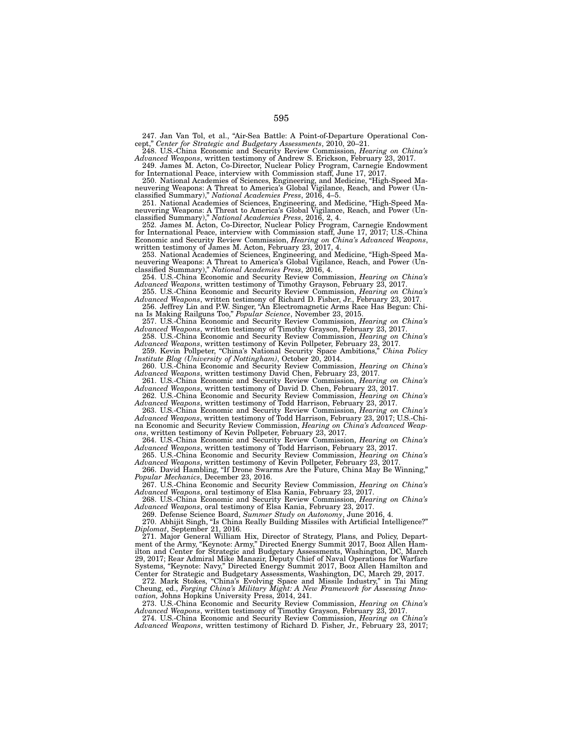247. Jan Van Tol, et al., "Air-Sea Battle: A Point-of-Departure Operational Concept," *Center for Strategic and Budgetary Assessments*, 2010, 20–21.

248. U.S.-China Economic and Security Review Commission, *Hearing on China's Advanced Weapons*, written testimony of Andrew S. Erickson, February 23, 2017. 249. James M. Acton, Co-Director, Nuclear Policy Program, Carnegie Endowment

for International Peace, interview with Commission staff, June 17, 2017. 250. National Academies of Sciences, Engineering, and Medicine, "High-Speed Ma-

neuvering Weapons: A Threat to America's Global Vigilance, Reach, and Power (Unclassified Summary)," *National Academies Press*, 2016, 4–5.

251. National Academies of Sciences, Engineering, and Medicine, "High-Speed Maneuvering Weapons: A Threat to America's Global Vigilance, Reach, and Power (Unclassified Summary)," *National Academies Press*, 2016, 2, 4.

252. James M. Acton, Co-Director, Nuclear Policy Program, Carnegie Endowment for International Peace, interview with Commission staff, June 17, 2017; U.S.-China Economic and Security Review Commission, *Hearing on China's Advanced Weapons*, written testimony of James M. Acton, February 23, 2017, 4.

253. National Academies of Sciences, Engineering, and Medicine, "High-Speed Maneuvering Weapons: A Threat to America's Global Vigilance, Reach, and Power (Unclassified Summary)," *National Academies Press*, 2016, 4.

254. U.S.-China Economic and Security Review Commission, *Hearing on China's Advanced Weapons*, written testimony of Timothy Grayson, February 23, 2017.

255. U.S.-China Economic and Security Review Commission, *Hearing on China's Advanced Weapons*, written testimony of Richard D. Fisher, Jr., February 23, 2017.

256. Jeffrey Lin and P.W. Singer, "An Electromagnetic Arms Race Has Begun: China Is Making Railguns Too," *Popular Science*, November 23, 2015.

257. U.S.-China Economic and Security Review Commission, *Hearing on China's Advanced Weapons*, written testimony of Timothy Grayson, February 23, 2017.

258. U.S.-China Economic and Security Review Commission, *Hearing on China's Advanced Weapons*, written testimony of Kevin Pollpeter, February 23, 2017.

259. Kevin Pollpeter, "China's National Security Space Ambitions," *China Policy Institute Blog (University of Nottingham)*, October 20, 2014.

260. U.S.-China Economic and Security Review Commission, *Hearing on China's Advanced Weapons*, written testimony David Chen, February 23, 2017.

261. U.S.-China Economic and Security Review Commission, *Hearing on China's Advanced Weapons*, written testimony of David D. Chen, February 23, 2017.

262. U.S.-China Economic and Security Review Commission, *Hearing on China's Advanced Weapons*, written testimony of Todd Harrison, February 23, 2017.

263. U.S.-China Economic and Security Review Commission, *Hearing on China's Advanced Weapons*, written testimony of Todd Harrison, February 23, 2017; U.S.-China Economic and Security Review Commission, *Hearing on China's Advanced Weapons*, written testimony of Kevin Pollpeter, February 23, 2017.

264. U.S.-China Economic and Security Review Commission, *Hearing on China's Advanced Weapons*, written testimony of Todd Harrison, February 23, 2017.

265. U.S.-China Economic and Security Review Commission, *Hearing on China's Advanced Weapons*, written testimony of Kevin Pollpeter, February 23, 2017.

266. David Hambling, "If Drone Swarms Are the Future, China May Be Winning," *Popular Mechanics*, December 23, 2016.

267. U.S.-China Economic and Security Review Commission, *Hearing on China's Advanced Weapons*, oral testimony of Elsa Kania, February 23, 2017.

268. U.S.-China Economic and Security Review Commission, *Hearing on China's Advanced Weapons*, oral testimony of Elsa Kania, February 23, 2017.

269. Defense Science Board, *Summer Study on Autonomy*, June 2016, 4. 270. Abhijit Singh, "Is China Really Building Missiles with Artificial Intelligence?" *Diplomat*, September 21, 2016.

271. Major General William Hix, Director of Strategy, Plans, and Policy, Department of the Army, "Keynote: Army," Directed Energy Summit 2017, Booz Allen Hamilton and Center for Strategic and Budgetary Assessments, Washington, DC, March 29, 2017; Rear Admiral Mike Manazir, Deputy Chief of Naval Operations for Warfare Systems, "Keynote: Navy," Directed Energy Summit 2017, Booz Allen Hamilton and Center for Strategic and Budgetary Assessments, Washington, DC, March 29, 2017.

272. Mark Stokes, "China's Evolving Space and Missile Industry," in Tai Ming Cheung, ed., *Forging China's Military Might: A New Framework for Assessing Innovation,* Johns Hopkins University Press, 2014, 241.

273. U.S.-China Economic and Security Review Commission, *Hearing on China's Advanced Weapons*, written testimony of Timothy Grayson, February 23, 2017.

274. U.S.-China Economic and Security Review Commission, *Hearing on China's Advanced Weapons*, written testimony of Richard D. Fisher, Jr., February 23, 2017;